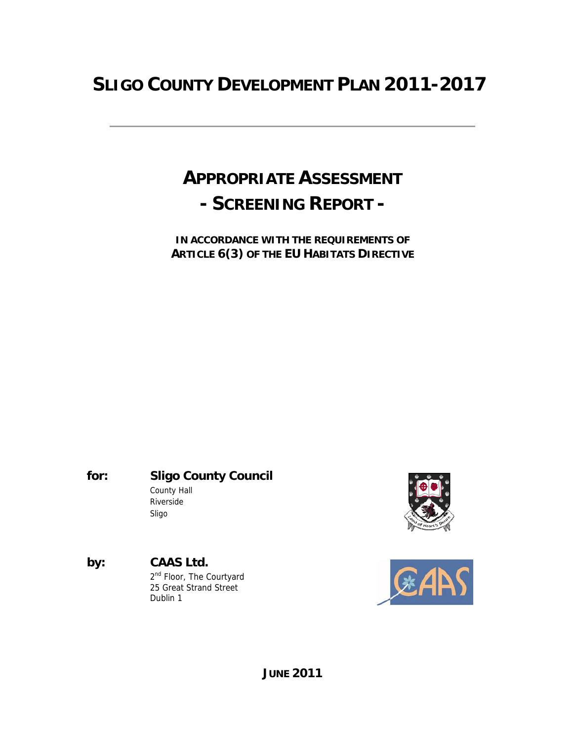# **SLIGO COUNTY DEVELOPMENT PLAN 2011-2017**

# **APPROPRIATE ASSESSMENT - SCREENING REPORT -**

**IN ACCORDANCE WITH THE REQUIREMENTS OF ARTICLE 6(3) OF THE EU HABITATS DIRECTIVE** 

**for: Sligo County Council** County Hall Riverside Sligo





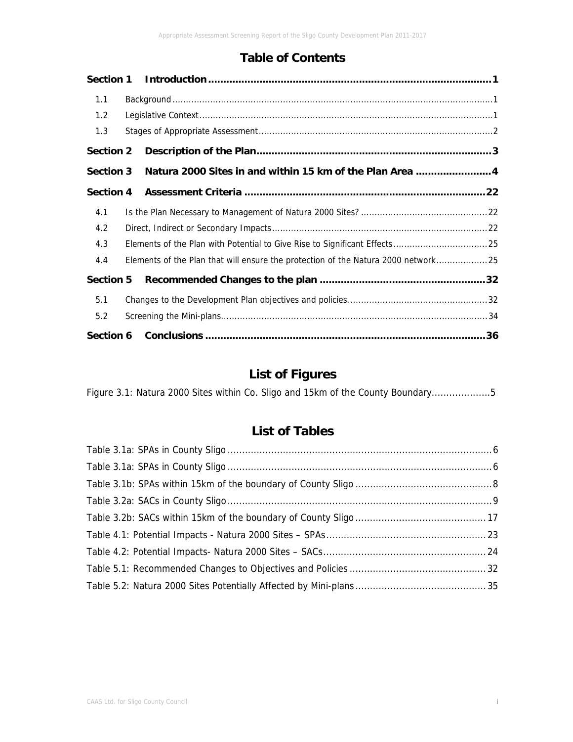## **Table of Contents**

| Section 1        |                                                                                    |  |
|------------------|------------------------------------------------------------------------------------|--|
| 1.1              |                                                                                    |  |
| 1.2              |                                                                                    |  |
| 1.3              |                                                                                    |  |
| <b>Section 2</b> |                                                                                    |  |
| <b>Section 3</b> | Natura 2000 Sites in and within 15 km of the Plan Area 4                           |  |
| Section 4        |                                                                                    |  |
| 4.1              |                                                                                    |  |
| 4.2              |                                                                                    |  |
| 4.3              |                                                                                    |  |
| 4.4              | Elements of the Plan that will ensure the protection of the Natura 2000 network 25 |  |
| <b>Section 5</b> |                                                                                    |  |
| 5.1              |                                                                                    |  |
| 5.2              |                                                                                    |  |
| Section 6        |                                                                                    |  |

# **List of Figures**

| Figure 3.1: Natura 2000 Sites within Co. Sligo and 15km of the County Boundary5 |
|---------------------------------------------------------------------------------|
|---------------------------------------------------------------------------------|

# **List of Tables**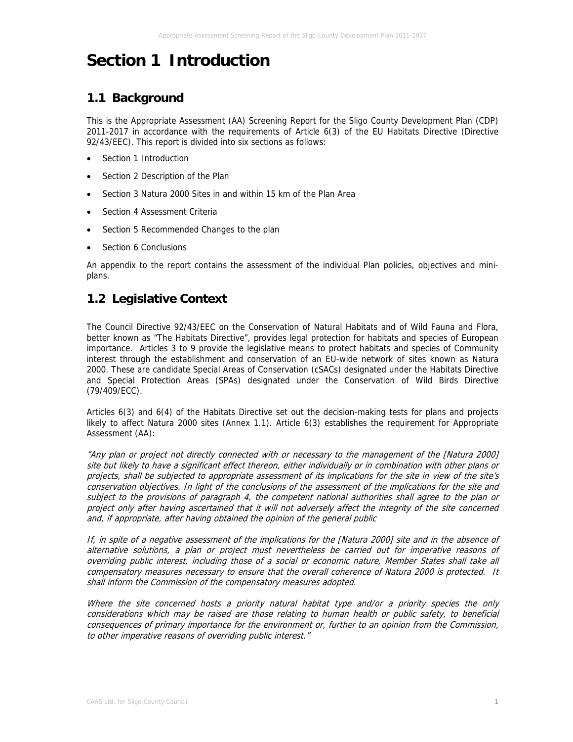# **Section 1 Introduction**

# **1.1 Background**

This is the Appropriate Assessment (AA) Screening Report for the Sligo County Development Plan (CDP) 2011-2017 in accordance with the requirements of Article 6(3) of the EU Habitats Directive (Directive 92/43/EEC). This report is divided into six sections as follows:

- Section 1 Introduction
- Section 2 Description of the Plan
- Section 3 Natura 2000 Sites in and within 15 km of the Plan Area
- Section 4 Assessment Criteria
- Section 5 Recommended Changes to the plan
- Section 6 Conclusions

An appendix to the report contains the assessment of the individual Plan policies, objectives and miniplans.

## **1.2 Legislative Context**

The Council Directive 92/43/EEC on the Conservation of Natural Habitats and of Wild Fauna and Flora, better known as "The Habitats Directive", provides legal protection for habitats and species of European importance. Articles 3 to 9 provide the legislative means to protect habitats and species of Community interest through the establishment and conservation of an EU-wide network of sites known as Natura 2000. These are candidate Special Areas of Conservation (cSACs) designated under the Habitats Directive and Special Protection Areas (SPAs) designated under the Conservation of Wild Birds Directive (79/409/ECC).

Articles 6(3) and 6(4) of the Habitats Directive set out the decision-making tests for plans and projects likely to affect Natura 2000 sites (Annex 1.1). Article 6(3) establishes the requirement for Appropriate Assessment (AA):

"Any plan or project not directly connected with or necessary to the management of the [Natura 2000] site but likely to have a significant effect thereon, either individually or in combination with other plans or projects, shall be subjected to appropriate assessment of its implications for the site in view of the site's conservation objectives. In light of the conclusions of the assessment of the implications for the site and subject to the provisions of paragraph 4, the competent national authorities shall agree to the plan or project only after having ascertained that it will not adversely affect the integrity of the site concerned and, if appropriate, after having obtained the opinion of the general public

If, in spite of a negative assessment of the implications for the [Natura 2000] site and in the absence of alternative solutions, a plan or project must nevertheless be carried out for imperative reasons of overriding public interest, including those of a social or economic nature, Member States shall take all compensatory measures necessary to ensure that the overall coherence of Natura 2000 is protected. It shall inform the Commission of the compensatory measures adopted.

Where the site concerned hosts a priority natural habitat type and/or a priority species the only considerations which may be raised are those relating to human health or public safety, to beneficial consequences of primary importance for the environment or, further to an opinion from the Commission, to other imperative reasons of overriding public interest."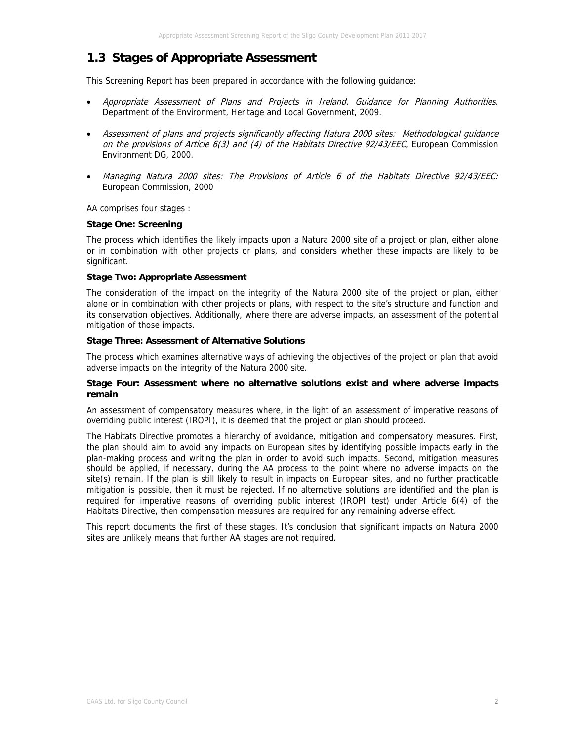## **1.3 Stages of Appropriate Assessment**

This Screening Report has been prepared in accordance with the following guidance:

- Appropriate Assessment of Plans and Projects in Ireland. Guidance for Planning Authorities. Department of the Environment, Heritage and Local Government, 2009.
- Assessment of plans and projects significantly affecting Natura 2000 sites: Methodological guidance on the provisions of Article 6(3) and (4) of the Habitats Directive 92/43/EEC, European Commission Environment DG, 2000.
- Managing Natura 2000 sites: The Provisions of Article 6 of the Habitats Directive 92/43/EEC: European Commission, 2000

AA comprises four stages :

#### **Stage One: Screening**

The process which identifies the likely impacts upon a Natura 2000 site of a project or plan, either alone or in combination with other projects or plans, and considers whether these impacts are likely to be significant.

#### **Stage Two: Appropriate Assessment**

The consideration of the impact on the integrity of the Natura 2000 site of the project or plan, either alone or in combination with other projects or plans, with respect to the site's structure and function and its conservation objectives. Additionally, where there are adverse impacts, an assessment of the potential mitigation of those impacts.

#### **Stage Three: Assessment of Alternative Solutions**

The process which examines alternative ways of achieving the objectives of the project or plan that avoid adverse impacts on the integrity of the Natura 2000 site.

#### **Stage Four: Assessment where no alternative solutions exist and where adverse impacts remain**

An assessment of compensatory measures where, in the light of an assessment of imperative reasons of overriding public interest (IROPI), it is deemed that the project or plan should proceed.

The Habitats Directive promotes a hierarchy of avoidance, mitigation and compensatory measures. First, the plan should aim to avoid any impacts on European sites by identifying possible impacts early in the plan-making process and writing the plan in order to avoid such impacts. Second, mitigation measures should be applied, if necessary, during the AA process to the point where no adverse impacts on the site(s) remain. If the plan is still likely to result in impacts on European sites, and no further practicable mitigation is possible, then it must be rejected. If no alternative solutions are identified and the plan is required for imperative reasons of overriding public interest (IROPI test) under Article 6(4) of the Habitats Directive, then compensation measures are required for any remaining adverse effect.

This report documents the first of these stages. It's conclusion that significant impacts on Natura 2000 sites are unlikely means that further AA stages are not required.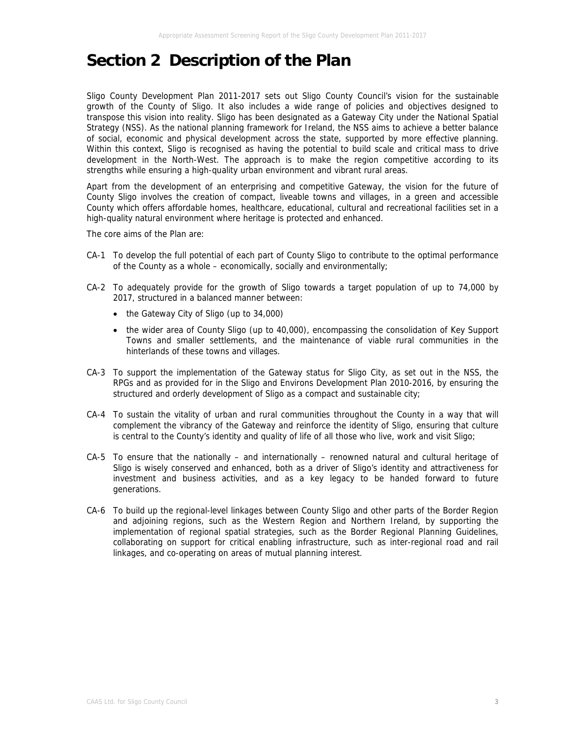# **Section 2 Description of the Plan**

Sligo County Development Plan 2011-2017 sets out Sligo County Council's vision for the sustainable growth of the County of Sligo. It also includes a wide range of policies and objectives designed to transpose this vision into reality. Sligo has been designated as a Gateway City under the National Spatial Strategy (NSS). As the national planning framework for Ireland, the NSS aims to achieve a better balance of social, economic and physical development across the state, supported by more effective planning. Within this context, Sligo is recognised as having the potential to build scale and critical mass to drive development in the North-West. The approach is to make the region competitive according to its strengths while ensuring a high-quality urban environment and vibrant rural areas.

Apart from the development of an enterprising and competitive Gateway, the vision for the future of County Sligo involves the creation of compact, liveable towns and villages, in a green and accessible County which offers affordable homes, healthcare, educational, cultural and recreational facilities set in a high-quality natural environment where heritage is protected and enhanced.

The core aims of the Plan are:

- CA-1 To develop the full potential of each part of County Sligo to contribute to the optimal performance of the County as a whole – economically, socially and environmentally;
- CA-2 To adequately provide for the growth of Sligo towards a target population of up to 74,000 by 2017, structured in a balanced manner between:
	- the Gateway City of Sligo (up to 34,000)
	- the wider area of County Sligo (up to 40,000), encompassing the consolidation of Key Support Towns and smaller settlements, and the maintenance of viable rural communities in the hinterlands of these towns and villages.
- CA-3 To support the implementation of the Gateway status for Sligo City, as set out in the NSS, the RPGs and as provided for in the Sligo and Environs Development Plan 2010-2016, by ensuring the structured and orderly development of Sligo as a compact and sustainable city;
- CA-4 To sustain the vitality of urban and rural communities throughout the County in a way that will complement the vibrancy of the Gateway and reinforce the identity of Sligo, ensuring that culture is central to the County's identity and quality of life of all those who live, work and visit Sligo;
- CA-5 To ensure that the nationally and internationally renowned natural and cultural heritage of Sligo is wisely conserved and enhanced, both as a driver of Sligo's identity and attractiveness for investment and business activities, and as a key legacy to be handed forward to future generations.
- CA-6 To build up the regional-level linkages between County Sligo and other parts of the Border Region and adjoining regions, such as the Western Region and Northern Ireland, by supporting the implementation of regional spatial strategies, such as the Border Regional Planning Guidelines, collaborating on support for critical enabling infrastructure, such as inter-regional road and rail linkages, and co-operating on areas of mutual planning interest.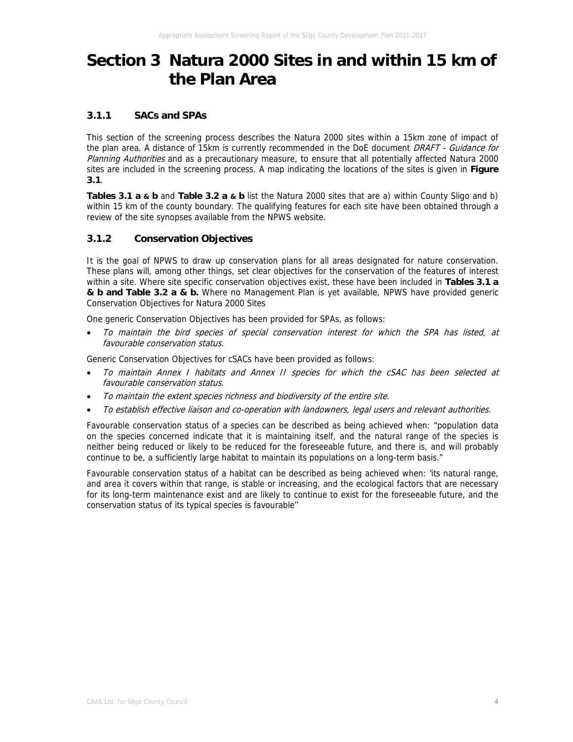# **Section 3 Natura 2000 Sites in and within 15 km of the Plan Area**

### **3.1.1 SACs and SPAs**

This section of the screening process describes the Natura 2000 sites within a 15km zone of impact of the plan area. A distance of 15km is currently recommended in the DoE document DRAFT - Guidance for Planning Authorities and as a precautionary measure, to ensure that all potentially affected Natura 2000 sites are included in the screening process. A map indicating the locations of the sites is given in **Figure 3.1**.

**Tables 3.1 a & b** and **Table 3.2 a & b** list the Natura 2000 sites that are a) within County Sligo and b) within 15 km of the county boundary. The qualifying features for each site have been obtained through a review of the site synopses available from the NPWS website.

## **3.1.2 Conservation Objectives**

It is the goal of NPWS to draw up conservation plans for all areas designated for nature conservation. These plans will, among other things, set clear objectives for the conservation of the features of interest within a site. Where site specific conservation objectives exist, these have been included in **Tables 3.1 a & b and Table 3.2 a & b.** Where no Management Plan is yet available, NPWS have provided generic Conservation Objectives for Natura 2000 Sites

One generic Conservation Objectives has been provided for SPAs, as follows:

• To maintain the bird species of special conservation interest for which the SPA has listed, at favourable conservation status.

Generic Conservation Objectives for cSACs have been provided as follows:

- To maintain Annex I habitats and Annex II species for which the cSAC has been selected at favourable conservation status.
- To maintain the extent species richness and biodiversity of the entire site.
- To establish effective liaison and co-operation with landowners, legal users and relevant authorities.

Favourable conservation status of a species can be described as being achieved when: "population data on the species concerned indicate that it is maintaining itself, and the natural range of the species is neither being reduced or likely to be reduced for the foreseeable future, and there is, and will probably continue to be, a sufficiently large habitat to maintain its populations on a long-term basis."

Favourable conservation status of a habitat can be described as being achieved when: 'its natural range, and area it covers within that range, is stable or increasing, and the ecological factors that are necessary for its long-term maintenance exist and are likely to continue to exist for the foreseeable future, and the conservation status of its typical species is favourable''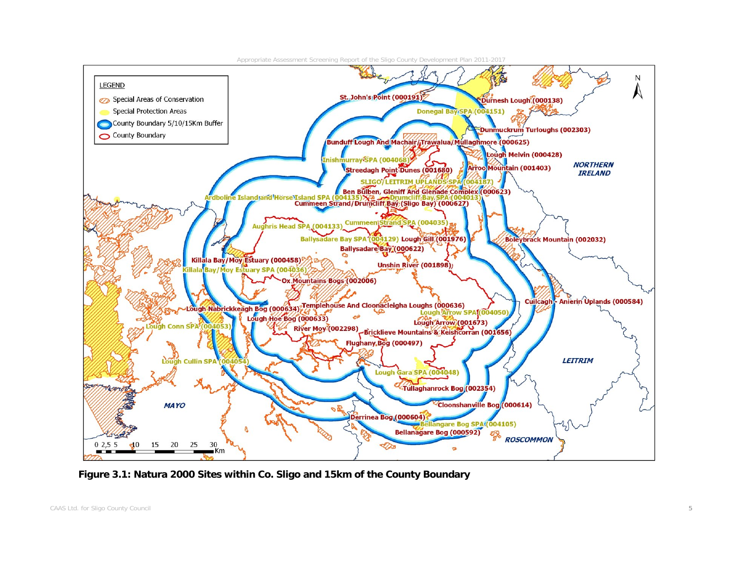

 **Figure 3.1: Natura 2000 Sites within Co. Sligo and 15km of the County Boundary**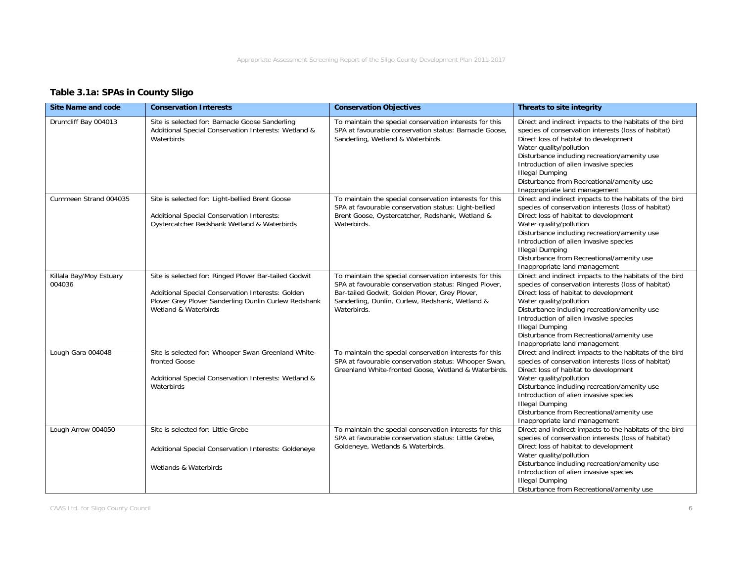## **Table 3.1a: SPAs in County Sligo**

| <b>Site Name and code</b>         | <b>Conservation Interests</b>                                                                                                                                                              | <b>Conservation Objectives</b>                                                                                                                                                                                                       | Threats to site integrity                                                                                                                                                                                                                                                                                                                                                            |
|-----------------------------------|--------------------------------------------------------------------------------------------------------------------------------------------------------------------------------------------|--------------------------------------------------------------------------------------------------------------------------------------------------------------------------------------------------------------------------------------|--------------------------------------------------------------------------------------------------------------------------------------------------------------------------------------------------------------------------------------------------------------------------------------------------------------------------------------------------------------------------------------|
| Drumcliff Bay 004013              | Site is selected for: Barnacle Goose Sanderling<br>Additional Special Conservation Interests: Wetland &<br>Waterbirds                                                                      | To maintain the special conservation interests for this<br>SPA at favourable conservation status: Barnacle Goose,<br>Sanderling, Wetland & Waterbirds.                                                                               | Direct and indirect impacts to the habitats of the bird<br>species of conservation interests (loss of habitat)<br>Direct loss of habitat to development<br>Water quality/pollution<br>Disturbance including recreation/amenity use<br>Introduction of alien invasive species<br><b>Illegal Dumping</b><br>Disturbance from Recreational/amenity use<br>Inappropriate land management |
| Cummeen Strand 004035             | Site is selected for: Light-bellied Brent Goose<br>Additional Special Conservation Interests:<br>Oystercatcher Redshank Wetland & Waterbirds                                               | To maintain the special conservation interests for this<br>SPA at favourable conservation status: Light-bellied<br>Brent Goose, Oystercatcher, Redshank, Wetland &<br>Waterbirds.                                                    | Direct and indirect impacts to the habitats of the bird<br>species of conservation interests (loss of habitat)<br>Direct loss of habitat to development<br>Water quality/pollution<br>Disturbance including recreation/amenity use<br>Introduction of alien invasive species<br><b>Illegal Dumping</b><br>Disturbance from Recreational/amenity use<br>Inappropriate land management |
| Killala Bay/Moy Estuary<br>004036 | Site is selected for: Ringed Plover Bar-tailed Godwit<br>Additional Special Conservation Interests: Golden<br>Plover Grey Plover Sanderling Dunlin Curlew Redshank<br>Wetland & Waterbirds | To maintain the special conservation interests for this<br>SPA at favourable conservation status: Ringed Plover,<br>Bar-tailed Godwit, Golden Plover, Grey Plover,<br>Sanderling, Dunlin, Curlew, Redshank, Wetland &<br>Waterbirds. | Direct and indirect impacts to the habitats of the bird<br>species of conservation interests (loss of habitat)<br>Direct loss of habitat to development<br>Water quality/pollution<br>Disturbance including recreation/amenity use<br>Introduction of alien invasive species<br><b>Illegal Dumping</b><br>Disturbance from Recreational/amenity use<br>Inappropriate land management |
| Lough Gara 004048                 | Site is selected for: Whooper Swan Greenland White-<br>fronted Goose<br>Additional Special Conservation Interests: Wetland &<br>Waterbirds                                                 | To maintain the special conservation interests for this<br>SPA at favourable conservation status: Whooper Swan,<br>Greenland White-fronted Goose, Wetland & Waterbirds.                                                              | Direct and indirect impacts to the habitats of the bird<br>species of conservation interests (loss of habitat)<br>Direct loss of habitat to development<br>Water quality/pollution<br>Disturbance including recreation/amenity use<br>Introduction of alien invasive species<br><b>Illegal Dumping</b><br>Disturbance from Recreational/amenity use<br>Inappropriate land management |
| Lough Arrow 004050                | Site is selected for: Little Grebe<br>Additional Special Conservation Interests: Goldeneye<br>Wetlands & Waterbirds                                                                        | To maintain the special conservation interests for this<br>SPA at favourable conservation status: Little Grebe,<br>Goldeneye, Wetlands & Waterbirds.                                                                                 | Direct and indirect impacts to the habitats of the bird<br>species of conservation interests (loss of habitat)<br>Direct loss of habitat to development<br>Water quality/pollution<br>Disturbance including recreation/amenity use<br>Introduction of alien invasive species<br><b>Illegal Dumping</b><br>Disturbance from Recreational/amenity use                                  |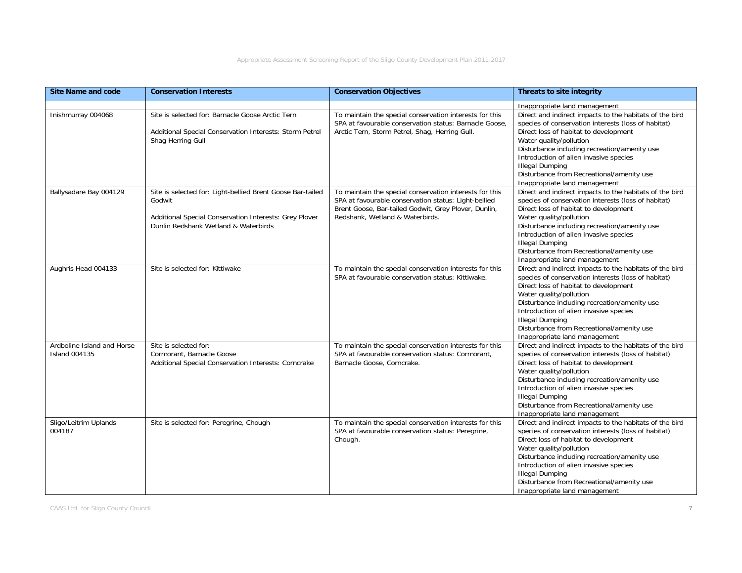| <b>Site Name and code</b>                          | <b>Conservation Interests</b>                                                                                                                                          | <b>Conservation Objectives</b>                                                                                                                                                                             | Threats to site integrity                                                                                                                                                                                                                                                                                                                                                            |
|----------------------------------------------------|------------------------------------------------------------------------------------------------------------------------------------------------------------------------|------------------------------------------------------------------------------------------------------------------------------------------------------------------------------------------------------------|--------------------------------------------------------------------------------------------------------------------------------------------------------------------------------------------------------------------------------------------------------------------------------------------------------------------------------------------------------------------------------------|
|                                                    |                                                                                                                                                                        |                                                                                                                                                                                                            | Inappropriate land management                                                                                                                                                                                                                                                                                                                                                        |
| Inishmurray 004068                                 | Site is selected for: Barnacle Goose Arctic Tern<br>Additional Special Conservation Interests: Storm Petrel<br>Shag Herring Gull                                       | To maintain the special conservation interests for this<br>SPA at favourable conservation status: Barnacle Goose,<br>Arctic Tern, Storm Petrel, Shag, Herring Gull.                                        | Direct and indirect impacts to the habitats of the bird<br>species of conservation interests (loss of habitat)<br>Direct loss of habitat to development<br>Water quality/pollution<br>Disturbance including recreation/amenity use<br>Introduction of alien invasive species<br><b>Illegal Dumping</b><br>Disturbance from Recreational/amenity use<br>Inappropriate land management |
| Ballysadare Bay 004129                             | Site is selected for: Light-bellied Brent Goose Bar-tailed<br>Godwit<br>Additional Special Conservation Interests: Grey Plover<br>Dunlin Redshank Wetland & Waterbirds | To maintain the special conservation interests for this<br>SPA at favourable conservation status: Light-bellied<br>Brent Goose, Bar-tailed Godwit, Grey Plover, Dunlin,<br>Redshank, Wetland & Waterbirds. | Direct and indirect impacts to the habitats of the bird<br>species of conservation interests (loss of habitat)<br>Direct loss of habitat to development<br>Water quality/pollution<br>Disturbance including recreation/amenity use<br>Introduction of alien invasive species<br><b>Illegal Dumping</b><br>Disturbance from Recreational/amenity use<br>Inappropriate land management |
| Aughris Head 004133                                | Site is selected for: Kittiwake                                                                                                                                        | To maintain the special conservation interests for this<br>SPA at favourable conservation status: Kittiwake.                                                                                               | Direct and indirect impacts to the habitats of the bird<br>species of conservation interests (loss of habitat)<br>Direct loss of habitat to development<br>Water quality/pollution<br>Disturbance including recreation/amenity use<br>Introduction of alien invasive species<br><b>Illegal Dumping</b><br>Disturbance from Recreational/amenity use<br>Inappropriate land management |
| Ardboline Island and Horse<br><b>Island 004135</b> | Site is selected for:<br>Cormorant, Barnacle Goose<br>Additional Special Conservation Interests: Corncrake                                                             | To maintain the special conservation interests for this<br>SPA at favourable conservation status: Cormorant,<br>Barnacle Goose, Corncrake.                                                                 | Direct and indirect impacts to the habitats of the bird<br>species of conservation interests (loss of habitat)<br>Direct loss of habitat to development<br>Water quality/pollution<br>Disturbance including recreation/amenity use<br>Introduction of alien invasive species<br><b>Illegal Dumping</b><br>Disturbance from Recreational/amenity use<br>Inappropriate land management |
| Sligo/Leitrim Uplands<br>004187                    | Site is selected for: Peregrine, Chough                                                                                                                                | To maintain the special conservation interests for this<br>SPA at favourable conservation status: Peregrine,<br>Chough.                                                                                    | Direct and indirect impacts to the habitats of the bird<br>species of conservation interests (loss of habitat)<br>Direct loss of habitat to development<br>Water quality/pollution<br>Disturbance including recreation/amenity use<br>Introduction of alien invasive species<br><b>Illegal Dumping</b><br>Disturbance from Recreational/amenity use<br>Inappropriate land management |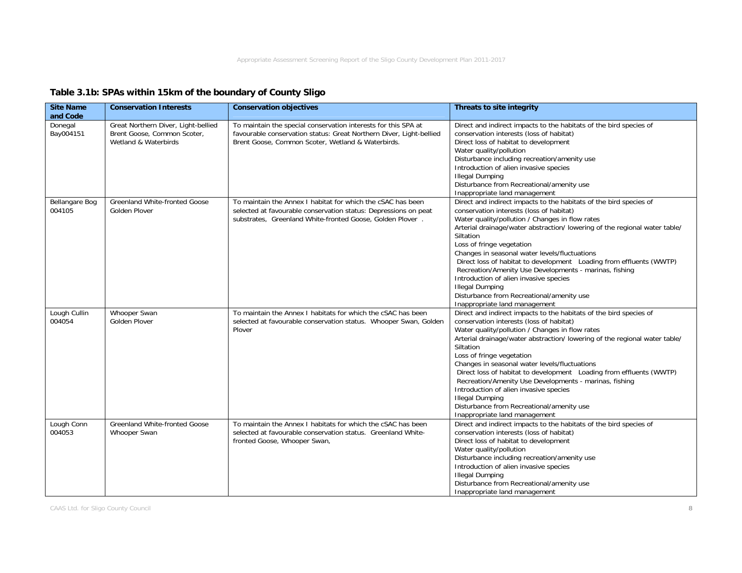## **Table 3.1b: SPAs within 15km of the boundary of County Sligo**

| <b>Site Name</b><br>and Code | <b>Conservation Interests</b>                                                              | <b>Conservation objectives</b>                                                                                                                                                              | Threats to site integrity                                                                                                                                                                                                                                                                                                                                                                                                                                                                                                                                                                                                     |
|------------------------------|--------------------------------------------------------------------------------------------|---------------------------------------------------------------------------------------------------------------------------------------------------------------------------------------------|-------------------------------------------------------------------------------------------------------------------------------------------------------------------------------------------------------------------------------------------------------------------------------------------------------------------------------------------------------------------------------------------------------------------------------------------------------------------------------------------------------------------------------------------------------------------------------------------------------------------------------|
| Donegal<br>Bay004151         | Great Northern Diver, Light-bellied<br>Brent Goose, Common Scoter,<br>Wetland & Waterbirds | To maintain the special conservation interests for this SPA at<br>favourable conservation status: Great Northern Diver, Light-bellied<br>Brent Goose, Common Scoter, Wetland & Waterbirds.  | Direct and indirect impacts to the habitats of the bird species of<br>conservation interests (loss of habitat)<br>Direct loss of habitat to development<br>Water quality/pollution<br>Disturbance including recreation/amenity use<br>Introduction of alien invasive species<br><b>Illegal Dumping</b><br>Disturbance from Recreational/amenity use<br>Inappropriate land management                                                                                                                                                                                                                                          |
| Bellangare Bog<br>004105     | Greenland White-fronted Goose<br>Golden Plover                                             | To maintain the Annex I habitat for which the cSAC has been<br>selected at favourable conservation status: Depressions on peat<br>substrates, Greenland White-fronted Goose, Golden Plover. | Direct and indirect impacts to the habitats of the bird species of<br>conservation interests (loss of habitat)<br>Water quality/pollution / Changes in flow rates<br>Arterial drainage/water abstraction/ lowering of the regional water table/<br>Siltation<br>Loss of fringe vegetation<br>Changes in seasonal water levels/fluctuations<br>Direct loss of habitat to development Loading from effluents (WWTP)<br>Recreation/Amenity Use Developments - marinas, fishing<br>Introduction of alien invasive species<br><b>Illegal Dumping</b><br>Disturbance from Recreational/amenity use<br>Inappropriate land management |
| Lough Cullin<br>004054       | Whooper Swan<br>Golden Plover                                                              | To maintain the Annex I habitats for which the cSAC has been<br>selected at favourable conservation status. Whooper Swan, Golden<br>Plover                                                  | Direct and indirect impacts to the habitats of the bird species of<br>conservation interests (loss of habitat)<br>Water quality/pollution / Changes in flow rates<br>Arterial drainage/water abstraction/ lowering of the regional water table/<br>Siltation<br>Loss of fringe vegetation<br>Changes in seasonal water levels/fluctuations<br>Direct loss of habitat to development Loading from effluents (WWTP)<br>Recreation/Amenity Use Developments - marinas, fishing<br>Introduction of alien invasive species<br><b>Illegal Dumping</b><br>Disturbance from Recreational/amenity use<br>Inappropriate land management |
| Lough Conn<br>004053         | Greenland White-fronted Goose<br>Whooper Swan                                              | To maintain the Annex I habitats for which the cSAC has been<br>selected at favourable conservation status. Greenland White-<br>fronted Goose, Whooper Swan,                                | Direct and indirect impacts to the habitats of the bird species of<br>conservation interests (loss of habitat)<br>Direct loss of habitat to development<br>Water quality/pollution<br>Disturbance including recreation/amenity use<br>Introduction of alien invasive species<br><b>Illegal Dumping</b><br>Disturbance from Recreational/amenity use<br>Inappropriate land management                                                                                                                                                                                                                                          |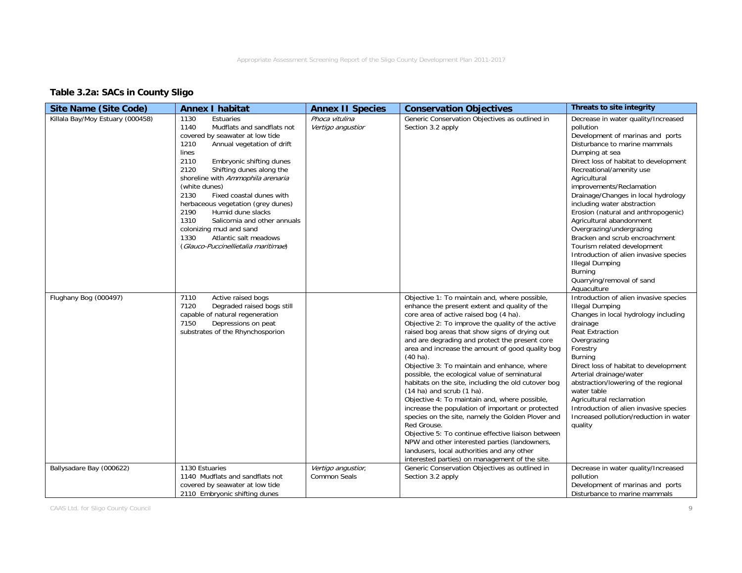## **Table 3.2a: SACs in County Sligo**

| <b>Site Name (Site Code)</b>     | <b>Annex I habitat</b>                                                                                                                                                                                                                                                                                                                                                                                                                                                                                                    | <b>Annex II Species</b>                   | <b>Conservation Objectives</b>                                                                                                                                                                                                                                                                                                                                                                                                                                                                                                                                                                                                                                                                                                                                                                                                                                                                                                                        | Threats to site integrity                                                                                                                                                                                                                                                                                                                                                                                                                                                                                                                                                                                                        |
|----------------------------------|---------------------------------------------------------------------------------------------------------------------------------------------------------------------------------------------------------------------------------------------------------------------------------------------------------------------------------------------------------------------------------------------------------------------------------------------------------------------------------------------------------------------------|-------------------------------------------|-------------------------------------------------------------------------------------------------------------------------------------------------------------------------------------------------------------------------------------------------------------------------------------------------------------------------------------------------------------------------------------------------------------------------------------------------------------------------------------------------------------------------------------------------------------------------------------------------------------------------------------------------------------------------------------------------------------------------------------------------------------------------------------------------------------------------------------------------------------------------------------------------------------------------------------------------------|----------------------------------------------------------------------------------------------------------------------------------------------------------------------------------------------------------------------------------------------------------------------------------------------------------------------------------------------------------------------------------------------------------------------------------------------------------------------------------------------------------------------------------------------------------------------------------------------------------------------------------|
| Killala Bay/Moy Estuary (000458) | 1130<br>Estuaries<br>1140<br>Mudflats and sandflats not<br>covered by seawater at low tide<br>Annual vegetation of drift<br>1210<br>lines<br>2110<br>Embryonic shifting dunes<br>2120<br>Shifting dunes along the<br>shoreline with Ammophila arenaria<br>(white dunes)<br>Fixed coastal dunes with<br>2130<br>herbaceous vegetation (grey dunes)<br>Humid dune slacks<br>2190<br>Salicornia and other annuals<br>1310<br>colonizing mud and sand<br>1330<br>Atlantic salt meadows<br>(Glauco-Puccinellietalia maritimae) | Phoca vitulina<br>Vertigo angustior       | Generic Conservation Objectives as outlined in<br>Section 3.2 apply                                                                                                                                                                                                                                                                                                                                                                                                                                                                                                                                                                                                                                                                                                                                                                                                                                                                                   | Decrease in water quality/Increased<br>pollution<br>Development of marinas and ports<br>Disturbance to marine mammals<br>Dumping at sea<br>Direct loss of habitat to development<br>Recreational/amenity use<br>Agricultural<br>improvements/Reclamation<br>Drainage/Changes in local hydrology<br>including water abstraction<br>Erosion (natural and anthropogenic)<br>Agricultural abandonment<br>Overgrazing/undergrazing<br>Bracken and scrub encroachment<br>Tourism related development<br>Introduction of alien invasive species<br><b>Illegal Dumping</b><br><b>Burning</b><br>Quarrying/removal of sand<br>Aquaculture |
| Flughany Bog (000497)            | 7110<br>Active raised bogs<br>Degraded raised bogs still<br>7120<br>capable of natural regeneration<br>Depressions on peat<br>7150<br>substrates of the Rhynchosporion                                                                                                                                                                                                                                                                                                                                                    |                                           | Objective 1: To maintain and, where possible,<br>enhance the present extent and quality of the<br>core area of active raised bog (4 ha).<br>Objective 2: To improve the quality of the active<br>raised bog areas that show signs of drying out<br>and are degrading and protect the present core<br>area and increase the amount of good quality bog<br>$(40 \text{ ha})$ .<br>Objective 3: To maintain and enhance, where<br>possible, the ecological value of seminatural<br>habitats on the site, including the old cutover bog<br>$(14$ ha) and scrub $(1$ ha).<br>Objective 4: To maintain and, where possible,<br>increase the population of important or protected<br>species on the site, namely the Golden Plover and<br>Red Grouse.<br>Objective 5: To continue effective liaison between<br>NPW and other interested parties (landowners,<br>landusers, local authorities and any other<br>interested parties) on management of the site. | Introduction of alien invasive species<br><b>Illegal Dumping</b><br>Changes in local hydrology including<br>drainage<br>Peat Extraction<br>Overgrazing<br>Forestry<br>Burning<br>Direct loss of habitat to development<br>Arterial drainage/water<br>abstraction/lowering of the regional<br>water table<br>Agricultural reclamation<br>Introduction of alien invasive species<br>Increased pollution/reduction in water<br>quality                                                                                                                                                                                              |
| Ballysadare Bay (000622)         | 1130 Estuaries<br>1140 Mudflats and sandflats not<br>covered by seawater at low tide<br>2110 Embryonic shifting dunes                                                                                                                                                                                                                                                                                                                                                                                                     | Vertigo angustior,<br><b>Common Seals</b> | Generic Conservation Objectives as outlined in<br>Section 3.2 apply                                                                                                                                                                                                                                                                                                                                                                                                                                                                                                                                                                                                                                                                                                                                                                                                                                                                                   | Decrease in water quality/Increased<br>pollution<br>Development of marinas and ports<br>Disturbance to marine mammals                                                                                                                                                                                                                                                                                                                                                                                                                                                                                                            |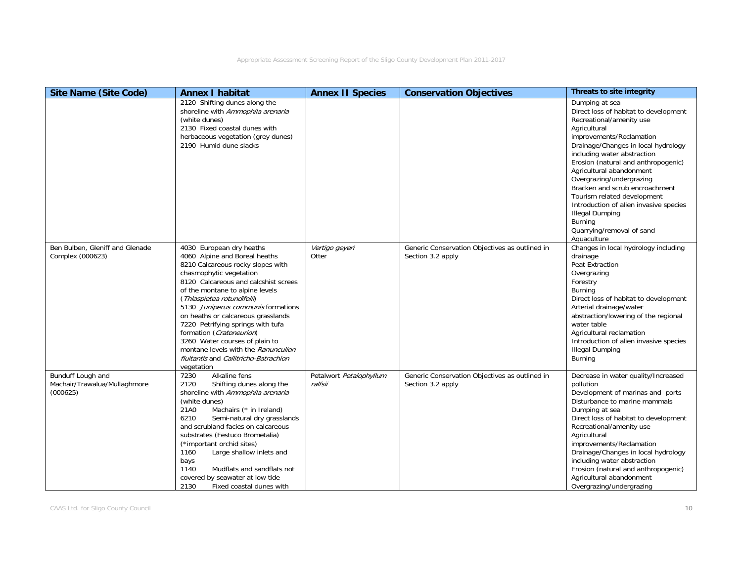| <b>Site Name (Site Code)</b>                                  | <b>Annex I habitat</b>                                                                                                                                                                                                                                                                                                                                                                                                                                                                                          | <b>Annex II Species</b>            | <b>Conservation Objectives</b>                                      | Threats to site integrity                                                                                                                                                                                                                                                                                                                                                                                                                                                                        |
|---------------------------------------------------------------|-----------------------------------------------------------------------------------------------------------------------------------------------------------------------------------------------------------------------------------------------------------------------------------------------------------------------------------------------------------------------------------------------------------------------------------------------------------------------------------------------------------------|------------------------------------|---------------------------------------------------------------------|--------------------------------------------------------------------------------------------------------------------------------------------------------------------------------------------------------------------------------------------------------------------------------------------------------------------------------------------------------------------------------------------------------------------------------------------------------------------------------------------------|
|                                                               | 2120 Shifting dunes along the<br>shoreline with Ammophila arenaria<br>(white dunes)<br>2130 Fixed coastal dunes with<br>herbaceous vegetation (grey dunes)<br>2190 Humid dune slacks                                                                                                                                                                                                                                                                                                                            |                                    |                                                                     | Dumping at sea<br>Direct loss of habitat to development<br>Recreational/amenity use<br>Agricultural<br>improvements/Reclamation<br>Drainage/Changes in local hydrology<br>including water abstraction<br>Erosion (natural and anthropogenic)<br>Agricultural abandonment<br>Overgrazing/undergrazing<br>Bracken and scrub encroachment<br>Tourism related development<br>Introduction of alien invasive species<br><b>Illegal Dumping</b><br>Burning<br>Quarrying/removal of sand<br>Aquaculture |
| Ben Bulben, Gleniff and Glenade<br>Complex (000623)           | 4030 European dry heaths<br>4060 Alpine and Boreal heaths<br>8210 Calcareous rocky slopes with<br>chasmophytic vegetation<br>8120 Calcareous and calcshist screes<br>of the montane to alpine levels<br>(Thlaspietea rotundifolii)<br>5130 Juniperus communis formations<br>on heaths or calcareous grasslands<br>7220 Petrifying springs with tufa<br>formation (Cratoneurion)<br>3260 Water courses of plain to<br>montane levels with the Ranunculion<br>fluitantis and Callitricho-Batrachion<br>vegetation | Vertigo geyeri<br>Otter            | Generic Conservation Objectives as outlined in<br>Section 3.2 apply | Changes in local hydrology including<br>drainage<br>Peat Extraction<br>Overgrazing<br>Forestry<br><b>Burning</b><br>Direct loss of habitat to development<br>Arterial drainage/water<br>abstraction/lowering of the regional<br>water table<br>Agricultural reclamation<br>Introduction of alien invasive species<br><b>Illegal Dumping</b><br>Burning                                                                                                                                           |
| Bunduff Lough and<br>Machair/Trawalua/Mullaghmore<br>(000625) | Alkaline fens<br>7230<br>2120<br>Shifting dunes along the<br>shoreline with Ammophila arenaria<br>(white dunes)<br>Machairs (* in Ireland)<br>21A0<br>6210<br>Semi-natural dry grasslands<br>and scrubland facies on calcareous<br>substrates (Festuco Brometalia)<br>(*important orchid sites)<br>1160<br>Large shallow inlets and<br>bays<br>1140<br>Mudflats and sandflats not<br>covered by seawater at low tide<br>2130<br>Fixed coastal dunes with                                                        | Petalwort Petalophyllum<br>ralfsii | Generic Conservation Objectives as outlined in<br>Section 3.2 apply | Decrease in water quality/Increased<br>pollution<br>Development of marinas and ports<br>Disturbance to marine mammals<br>Dumping at sea<br>Direct loss of habitat to development<br>Recreational/amenity use<br>Agricultural<br>improvements/Reclamation<br>Drainage/Changes in local hydrology<br>including water abstraction<br>Erosion (natural and anthropogenic)<br>Agricultural abandonment<br>Overgrazing/undergrazing                                                                    |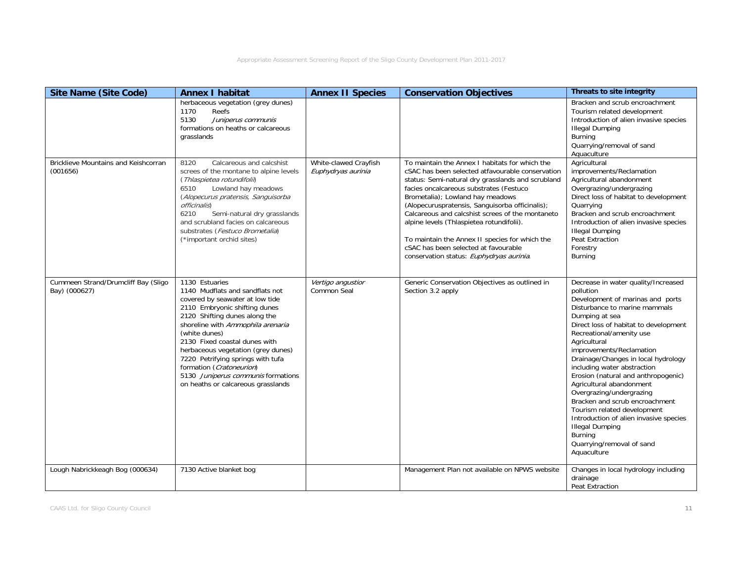| <b>Site Name (Site Code)</b>                            | <b>Annex I habitat</b>                                                                                                                                                                                                                                                                                                                                                                                                           | <b>Annex II Species</b>                     | <b>Conservation Objectives</b>                                                                                                                                                                                                                                                                                                                                                                                                                                                                                                   | <b>Threats to site integrity</b>                                                                                                                                                                                                                                                                                                                                                                                                                                                                                                                                                                                          |
|---------------------------------------------------------|----------------------------------------------------------------------------------------------------------------------------------------------------------------------------------------------------------------------------------------------------------------------------------------------------------------------------------------------------------------------------------------------------------------------------------|---------------------------------------------|----------------------------------------------------------------------------------------------------------------------------------------------------------------------------------------------------------------------------------------------------------------------------------------------------------------------------------------------------------------------------------------------------------------------------------------------------------------------------------------------------------------------------------|---------------------------------------------------------------------------------------------------------------------------------------------------------------------------------------------------------------------------------------------------------------------------------------------------------------------------------------------------------------------------------------------------------------------------------------------------------------------------------------------------------------------------------------------------------------------------------------------------------------------------|
|                                                         | herbaceous vegetation (grey dunes)<br>1170<br>Reefs<br>5130<br>Juniperus communis<br>formations on heaths or calcareous<br>grasslands                                                                                                                                                                                                                                                                                            |                                             |                                                                                                                                                                                                                                                                                                                                                                                                                                                                                                                                  | Bracken and scrub encroachment<br>Tourism related development<br>Introduction of alien invasive species<br><b>Illegal Dumping</b><br>Burning<br>Quarrying/removal of sand<br>Aquaculture                                                                                                                                                                                                                                                                                                                                                                                                                                  |
| <b>Bricklieve Mountains and Keishcorran</b><br>(001656) | Calcareous and calcshist<br>8120<br>screes of the montane to alpine levels<br>(Thlaspietea rotundifolii)<br>Lowland hay meadows<br>6510<br>(Alopecurus pratensis, Sanguisorba<br><i>officinalis</i> )<br>6210<br>Semi-natural dry grasslands<br>and scrubland facies on calcareous<br>substrates (Festuco Brometalia)<br>(*important orchid sites)                                                                               | White-clawed Crayfish<br>Euphydryas aurinia | To maintain the Annex I habitats for which the<br>cSAC has been selected atfavourable conservation<br>status: Semi-natural dry grasslands and scrubland<br>facies oncalcareous substrates (Festuco<br>Brometalia); Lowland hay meadows<br>(Alopecuruspratensis, Sanguisorba officinalis);<br>Calcareous and calcshist screes of the montaneto<br>alpine levels (Thlaspietea rotundifolii).<br>To maintain the Annex II species for which the<br>cSAC has been selected at favourable<br>conservation status: Euphydryas aurinia. | Agricultural<br>improvements/Reclamation<br>Agricultural abandonment<br>Overgrazing/undergrazing<br>Direct loss of habitat to development<br>Quarrying<br>Bracken and scrub encroachment<br>Introduction of alien invasive species<br><b>Illegal Dumping</b><br>Peat Extraction<br>Forestry<br>Burning                                                                                                                                                                                                                                                                                                                    |
| Cummeen Strand/Drumcliff Bay (Sligo<br>Bay) (000627)    | 1130 Estuaries<br>1140 Mudflats and sandflats not<br>covered by seawater at low tide<br>2110 Embryonic shifting dunes<br>2120 Shifting dunes along the<br>shoreline with Ammophila arenaria<br>(white dunes)<br>2130 Fixed coastal dunes with<br>herbaceous vegetation (grey dunes)<br>7220 Petrifying springs with tufa<br>formation (Cratoneurion)<br>5130 Juniperus communis formations<br>on heaths or calcareous grasslands | Vertigo angustior<br>Common Seal            | Generic Conservation Objectives as outlined in<br>Section 3.2 apply                                                                                                                                                                                                                                                                                                                                                                                                                                                              | Decrease in water quality/Increased<br>pollution<br>Development of marinas and ports<br>Disturbance to marine mammals<br>Dumping at sea<br>Direct loss of habitat to development<br>Recreational/amenity use<br>Agricultural<br>improvements/Reclamation<br>Drainage/Changes in local hydrology<br>including water abstraction<br>Erosion (natural and anthropogenic)<br>Agricultural abandonment<br>Overgrazing/undergrazing<br>Bracken and scrub encroachment<br>Tourism related development<br>Introduction of alien invasive species<br><b>Illegal Dumping</b><br>Burning<br>Quarrying/removal of sand<br>Aquaculture |
| Lough Nabrickkeagh Bog (000634)                         | 7130 Active blanket bog                                                                                                                                                                                                                                                                                                                                                                                                          |                                             | Management Plan not available on NPWS website                                                                                                                                                                                                                                                                                                                                                                                                                                                                                    | Changes in local hydrology including<br>drainage<br>Peat Extraction                                                                                                                                                                                                                                                                                                                                                                                                                                                                                                                                                       |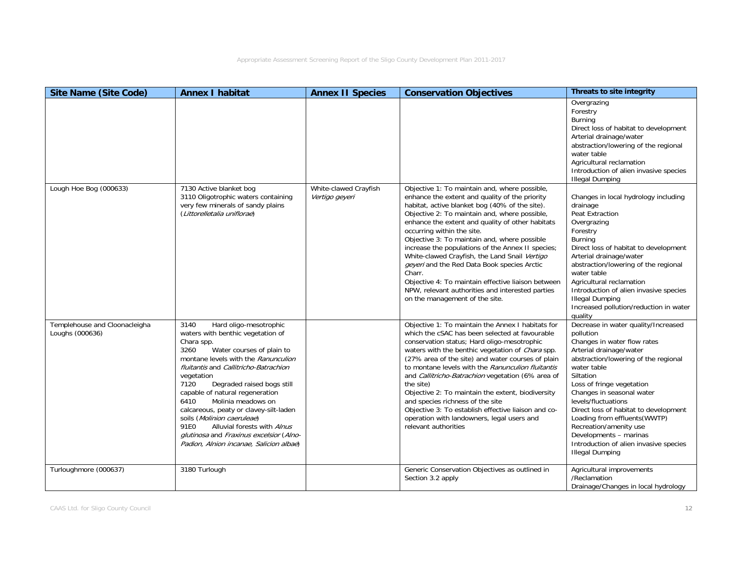| <b>Site Name (Site Code)</b>                     | <b>Annex I habitat</b>                                                                                                                                                                                                                                                                                                                                                                                                                                                                                                           | <b>Annex II Species</b>                 | <b>Conservation Objectives</b>                                                                                                                                                                                                                                                                                                                                                                                                                                                                                                                                                                                                                  | Threats to site integrity                                                                                                                                                                                                                                                                                                                                                                                                                                         |
|--------------------------------------------------|----------------------------------------------------------------------------------------------------------------------------------------------------------------------------------------------------------------------------------------------------------------------------------------------------------------------------------------------------------------------------------------------------------------------------------------------------------------------------------------------------------------------------------|-----------------------------------------|-------------------------------------------------------------------------------------------------------------------------------------------------------------------------------------------------------------------------------------------------------------------------------------------------------------------------------------------------------------------------------------------------------------------------------------------------------------------------------------------------------------------------------------------------------------------------------------------------------------------------------------------------|-------------------------------------------------------------------------------------------------------------------------------------------------------------------------------------------------------------------------------------------------------------------------------------------------------------------------------------------------------------------------------------------------------------------------------------------------------------------|
|                                                  |                                                                                                                                                                                                                                                                                                                                                                                                                                                                                                                                  |                                         |                                                                                                                                                                                                                                                                                                                                                                                                                                                                                                                                                                                                                                                 | Overgrazing<br>Forestry<br><b>Burning</b><br>Direct loss of habitat to development<br>Arterial drainage/water<br>abstraction/lowering of the regional<br>water table<br>Agricultural reclamation<br>Introduction of alien invasive species<br><b>Illegal Dumping</b>                                                                                                                                                                                              |
| Lough Hoe Bog (000633)                           | 7130 Active blanket bog<br>3110 Oligotrophic waters containing<br>very few minerals of sandy plains<br>(Littorelletalia uniflorae)                                                                                                                                                                                                                                                                                                                                                                                               | White-clawed Crayfish<br>Vertigo geyeri | Objective 1: To maintain and, where possible,<br>enhance the extent and quality of the priority<br>habitat, active blanket bog (40% of the site).<br>Objective 2: To maintain and, where possible,<br>enhance the extent and quality of other habitats<br>occurring within the site.<br>Objective 3: To maintain and, where possible<br>increase the populations of the Annex II species;<br>White-clawed Crayfish, the Land Snail Vertigo<br>geyeri and the Red Data Book species Arctic<br>Charr.<br>Objective 4: To maintain effective liaison between<br>NPW, relevant authorities and interested parties<br>on the management of the site. | Changes in local hydrology including<br>drainage<br>Peat Extraction<br>Overgrazing<br>Forestry<br><b>Burning</b><br>Direct loss of habitat to development<br>Arterial drainage/water<br>abstraction/lowering of the regional<br>water table<br>Agricultural reclamation<br>Introduction of alien invasive species<br><b>Illegal Dumping</b><br>Increased pollution/reduction in water<br>quality                                                                  |
| Templehouse and Cloonacleigha<br>Loughs (000636) | 3140<br>Hard oligo-mesotrophic<br>waters with benthic vegetation of<br>Chara spp.<br>3260<br>Water courses of plain to<br>montane levels with the Ranunculion<br>fluitantis and Callitricho-Batrachion<br>vegetation<br>7120<br>Degraded raised bogs still<br>capable of natural regeneration<br>6410<br>Molinia meadows on<br>calcareous, peaty or clavey-silt-laden<br>soils (Molinion caeruleae)<br>91E0<br>Alluvial forests with Alnus<br>glutinosa and Fraxinus excelsior (Alno-<br>Padion, Alnion incanae, Salicion albae) |                                         | Objective 1: To maintain the Annex I habitats for<br>which the cSAC has been selected at favourable<br>conservation status; Hard oligo-mesotrophic<br>waters with the benthic vegetation of Chara spp.<br>(27% area of the site) and water courses of plain<br>to montane levels with the Ranunculion fluitantis<br>and Callitricho-Batrachion vegetation (6% area of<br>the site)<br>Objective 2: To maintain the extent, biodiversity<br>and species richness of the site<br>Objective 3: To establish effective liaison and co-<br>operation with landowners, legal users and<br>relevant authorities                                        | Decrease in water quality/Increased<br>pollution<br>Changes in water flow rates<br>Arterial drainage/water<br>abstraction/lowering of the regional<br>water table<br>Siltation<br>Loss of fringe vegetation<br>Changes in seasonal water<br>levels/fluctuations<br>Direct loss of habitat to development<br>Loading from effluents (WWTP)<br>Recreation/amenity use<br>Developments - marinas<br>Introduction of alien invasive species<br><b>Illegal Dumping</b> |
| Turloughmore (000637)                            | 3180 Turlough                                                                                                                                                                                                                                                                                                                                                                                                                                                                                                                    |                                         | Generic Conservation Objectives as outlined in<br>Section 3.2 apply                                                                                                                                                                                                                                                                                                                                                                                                                                                                                                                                                                             | Agricultural improvements<br>/Reclamation<br>Drainage/Changes in local hydrology                                                                                                                                                                                                                                                                                                                                                                                  |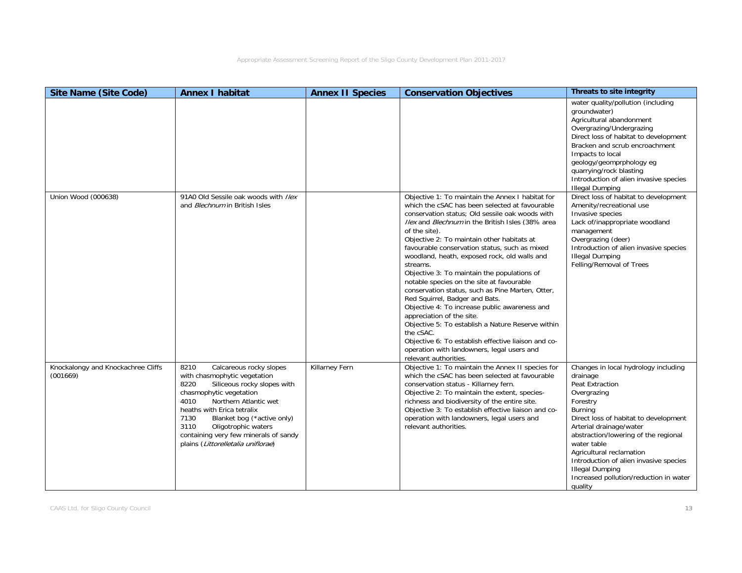| <b>Site Name (Site Code)</b>                   | <b>Annex I habitat</b>                                                                                                                                                                                                                                                                                                                               | <b>Annex II Species</b> | <b>Conservation Objectives</b>                                                                                                                                                                                                                                                                                                                                                                                                                                                                                                                                                                                                                                                                                                                                                                                                                        | Threats to site integrity                                                                                                                                                                                                                                                                                                                                                                 |
|------------------------------------------------|------------------------------------------------------------------------------------------------------------------------------------------------------------------------------------------------------------------------------------------------------------------------------------------------------------------------------------------------------|-------------------------|-------------------------------------------------------------------------------------------------------------------------------------------------------------------------------------------------------------------------------------------------------------------------------------------------------------------------------------------------------------------------------------------------------------------------------------------------------------------------------------------------------------------------------------------------------------------------------------------------------------------------------------------------------------------------------------------------------------------------------------------------------------------------------------------------------------------------------------------------------|-------------------------------------------------------------------------------------------------------------------------------------------------------------------------------------------------------------------------------------------------------------------------------------------------------------------------------------------------------------------------------------------|
|                                                |                                                                                                                                                                                                                                                                                                                                                      |                         |                                                                                                                                                                                                                                                                                                                                                                                                                                                                                                                                                                                                                                                                                                                                                                                                                                                       | water quality/pollution (including<br>groundwater)<br>Agricultural abandonment<br>Overgrazing/Undergrazing<br>Direct loss of habitat to development<br>Bracken and scrub encroachment<br>Impacts to local<br>geology/geomprphology eg<br>quarrying/rock blasting<br>Introduction of alien invasive species<br><b>Illegal Dumping</b>                                                      |
| Union Wood (000638)                            | 91A0 Old Sessile oak woods with Ilex<br>and <i>Blechnum</i> in British Isles                                                                                                                                                                                                                                                                         |                         | Objective 1: To maintain the Annex I habitat for<br>which the cSAC has been selected at favourable<br>conservation status; Old sessile oak woods with<br>Ilex and Blechnum in the British Isles (38% area<br>of the site).<br>Objective 2: To maintain other habitats at<br>favourable conservation status, such as mixed<br>woodland, heath, exposed rock, old walls and<br>streams.<br>Objective 3: To maintain the populations of<br>notable species on the site at favourable<br>conservation status, such as Pine Marten, Otter,<br>Red Squirrel, Badger and Bats.<br>Objective 4: To increase public awareness and<br>appreciation of the site.<br>Objective 5: To establish a Nature Reserve within<br>the cSAC.<br>Objective 6: To establish effective liaison and co-<br>operation with landowners, legal users and<br>relevant authorities. | Direct loss of habitat to development<br>Amenity/recreational use<br>Invasive species<br>Lack of/inappropriate woodland<br>management<br>Overgrazing (deer)<br>Introduction of alien invasive species<br><b>Illegal Dumping</b><br>Felling/Removal of Trees                                                                                                                               |
| Knockalongy and Knockachree Cliffs<br>(001669) | 8210<br>Calcareous rocky slopes<br>with chasmophytic vegetation<br>8220<br>Siliceous rocky slopes with<br>chasmophytic vegetation<br>4010<br>Northern Atlantic wet<br>heaths with Erica tetralix<br>7130<br>Blanket bog (*active only)<br>3110<br>Oligotrophic waters<br>containing very few minerals of sandy<br>plains (Littorelletalia uniflorae) | Killarney Fern          | Objective 1: To maintain the Annex II species for<br>which the cSAC has been selected at favourable<br>conservation status - Killarney fern.<br>Objective 2: To maintain the extent, species-<br>richness and biodiversity of the entire site.<br>Objective 3: To establish effective liaison and co-<br>operation with landowners, legal users and<br>relevant authorities.                                                                                                                                                                                                                                                                                                                                                                                                                                                                          | Changes in local hydrology including<br>drainage<br>Peat Extraction<br>Overgrazing<br>Forestry<br>Burning<br>Direct loss of habitat to development<br>Arterial drainage/water<br>abstraction/lowering of the regional<br>water table<br>Agricultural reclamation<br>Introduction of alien invasive species<br><b>Illegal Dumping</b><br>Increased pollution/reduction in water<br>quality |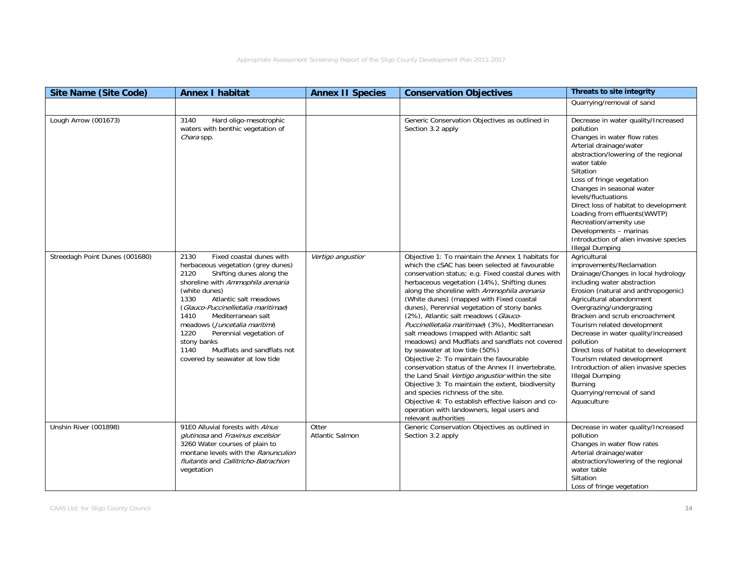| <b>Site Name (Site Code)</b>   | <b>Annex I habitat</b>                                                                                                                                                                                                                                                                                                                                                                                                             | <b>Annex II Species</b>         | <b>Conservation Objectives</b>                                                                                                                                                                                                                                                                                                                                                                                                                                                                                                                                                                                                                                                                                                                                                                                                                                                                                                                          | Threats to site integrity                                                                                                                                                                                                                                                                                                                                                                                                                                                                                                             |
|--------------------------------|------------------------------------------------------------------------------------------------------------------------------------------------------------------------------------------------------------------------------------------------------------------------------------------------------------------------------------------------------------------------------------------------------------------------------------|---------------------------------|---------------------------------------------------------------------------------------------------------------------------------------------------------------------------------------------------------------------------------------------------------------------------------------------------------------------------------------------------------------------------------------------------------------------------------------------------------------------------------------------------------------------------------------------------------------------------------------------------------------------------------------------------------------------------------------------------------------------------------------------------------------------------------------------------------------------------------------------------------------------------------------------------------------------------------------------------------|---------------------------------------------------------------------------------------------------------------------------------------------------------------------------------------------------------------------------------------------------------------------------------------------------------------------------------------------------------------------------------------------------------------------------------------------------------------------------------------------------------------------------------------|
|                                |                                                                                                                                                                                                                                                                                                                                                                                                                                    |                                 |                                                                                                                                                                                                                                                                                                                                                                                                                                                                                                                                                                                                                                                                                                                                                                                                                                                                                                                                                         | Quarrying/removal of sand                                                                                                                                                                                                                                                                                                                                                                                                                                                                                                             |
| Lough Arrow (001673)           | Hard oligo-mesotrophic<br>3140<br>waters with benthic vegetation of<br>Chara spp.                                                                                                                                                                                                                                                                                                                                                  |                                 | Generic Conservation Objectives as outlined in<br>Section 3.2 apply                                                                                                                                                                                                                                                                                                                                                                                                                                                                                                                                                                                                                                                                                                                                                                                                                                                                                     | Decrease in water quality/Increased<br>pollution<br>Changes in water flow rates<br>Arterial drainage/water<br>abstraction/lowering of the regional<br>water table<br>Siltation<br>Loss of fringe vegetation<br>Changes in seasonal water<br>levels/fluctuations<br>Direct loss of habitat to development<br>Loading from effluents (WWTP)<br>Recreation/amenity use<br>Developments - marinas<br>Introduction of alien invasive species<br><b>Illegal Dumping</b>                                                                     |
| Streedagh Point Dunes (001680) | 2130<br>Fixed coastal dunes with<br>herbaceous vegetation (grey dunes)<br>Shifting dunes along the<br>2120<br>shoreline with Ammophila arenaria<br>(white dunes)<br>1330<br>Atlantic salt meadows<br>(Glauco-Puccinellietalia maritimae)<br>1410<br>Mediterranean salt<br>meadows (Juncetalia maritimi)<br>1220<br>Perennial vegetation of<br>stony banks<br>Mudflats and sandflats not<br>1140<br>covered by seawater at low tide | Vertigo angustior               | Objective 1: To maintain the Annex 1 habitats for<br>which the cSAC has been selected at favourable<br>conservation status; e.g. Fixed coastal dunes with<br>herbaceous vegetation (14%), Shifting dunes<br>along the shoreline with Ammophila arenaria<br>(White dunes) (mapped with Fixed coastal<br>dunes), Perennial vegetation of stony banks<br>(2%), Atlantic salt meadows (Glauco-<br>Puccinellietalia maritimae) (3%), Mediterranean<br>salt meadows (mapped with Atlantic salt<br>meadows) and Mudflats and sandflats not covered<br>by seawater at low tide (50%)<br>Objective 2: To maintain the favourable<br>conservation status of the Annex II invertebrate,<br>the Land Snail Vertigo angustior within the site<br>Objective 3: To maintain the extent, biodiversity<br>and species richness of the site.<br>Objective 4: To establish effective liaison and co-<br>operation with landowners, legal users and<br>relevant authorities | Agricultural<br>improvements/Reclamation<br>Drainage/Changes in local hydrology<br>including water abstraction<br>Erosion (natural and anthropogenic)<br>Agricultural abandonment<br>Overgrazing/undergrazing<br>Bracken and scrub encroachment<br>Tourism related development<br>Decrease in water quality/increased<br>pollution<br>Direct loss of habitat to development<br>Tourism related development<br>Introduction of alien invasive species<br><b>Illegal Dumping</b><br>Burning<br>Quarrying/removal of sand<br>Aquaculture |
| Unshin River (001898)          | 91E0 Alluvial forests with Alnus<br>glutinosa and Fraxinus excelsior<br>3260 Water courses of plain to<br>montane levels with the Ranunculion<br>fluitantis and Callitricho-Batrachion<br>vegetation                                                                                                                                                                                                                               | Otter<br><b>Atlantic Salmon</b> | Generic Conservation Objectives as outlined in<br>Section 3.2 apply                                                                                                                                                                                                                                                                                                                                                                                                                                                                                                                                                                                                                                                                                                                                                                                                                                                                                     | Decrease in water quality/Increased<br>pollution<br>Changes in water flow rates<br>Arterial drainage/water<br>abstraction/lowering of the regional<br>water table<br>Siltation<br>Loss of fringe vegetation                                                                                                                                                                                                                                                                                                                           |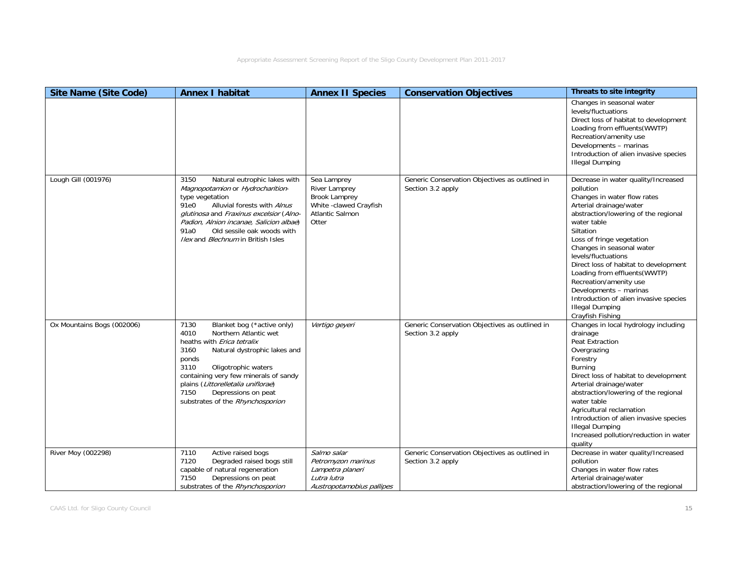| <b>Site Name (Site Code)</b> | <b>Annex I habitat</b>                                                                                                                                                                                                                                                                                                                     | <b>Annex II Species</b>                                                                                    | <b>Conservation Objectives</b>                                      | <b>Threats to site integrity</b>                                                                                                                                                                                                                                                                                                                                                                                                                                                      |
|------------------------------|--------------------------------------------------------------------------------------------------------------------------------------------------------------------------------------------------------------------------------------------------------------------------------------------------------------------------------------------|------------------------------------------------------------------------------------------------------------|---------------------------------------------------------------------|---------------------------------------------------------------------------------------------------------------------------------------------------------------------------------------------------------------------------------------------------------------------------------------------------------------------------------------------------------------------------------------------------------------------------------------------------------------------------------------|
|                              |                                                                                                                                                                                                                                                                                                                                            |                                                                                                            |                                                                     | Changes in seasonal water<br>levels/fluctuations<br>Direct loss of habitat to development<br>Loading from effluents (WWTP)<br>Recreation/amenity use<br>Developments - marinas<br>Introduction of alien invasive species<br><b>Illegal Dumping</b>                                                                                                                                                                                                                                    |
| Lough Gill (001976)          | 3150<br>Natural eutrophic lakes with<br>Magnopotamion or Hydrocharition-<br>type vegetation<br>91e0<br>Alluvial forests with Alnus<br>glutinosa and Fraxinus excelsior (Alno-<br>Padion, Alnion incanae, Salicion albae)<br>Old sessile oak woods with<br>91a0<br><i>llex</i> and <i>Blechnum</i> in British Isles                         | Sea Lamprey<br>River Lamprey<br><b>Brook Lamprey</b><br>White -clawed Crayfish<br>Atlantic Salmon<br>Otter | Generic Conservation Objectives as outlined in<br>Section 3.2 apply | Decrease in water quality/Increased<br>pollution<br>Changes in water flow rates<br>Arterial drainage/water<br>abstraction/lowering of the regional<br>water table<br>Siltation<br>Loss of fringe vegetation<br>Changes in seasonal water<br>levels/fluctuations<br>Direct loss of habitat to development<br>Loading from effluents (WWTP)<br>Recreation/amenity use<br>Developments - marinas<br>Introduction of alien invasive species<br><b>Illegal Dumping</b><br>Crayfish Fishing |
| Ox Mountains Bogs (002006)   | 7130<br>Blanket bog (*active only)<br>4010<br>Northern Atlantic wet<br>heaths with <i>Erica tetralix</i><br>3160<br>Natural dystrophic lakes and<br>ponds<br>3110<br>Oligotrophic waters<br>containing very few minerals of sandy<br>plains (Littorelletalia uniflorae)<br>Depressions on peat<br>7150<br>substrates of the Rhynchosporion | Vertigo geyeri                                                                                             | Generic Conservation Objectives as outlined in<br>Section 3.2 apply | Changes in local hydrology including<br>drainage<br>Peat Extraction<br>Overgrazing<br>Forestry<br><b>Burning</b><br>Direct loss of habitat to development<br>Arterial drainage/water<br>abstraction/lowering of the regional<br>water table<br>Agricultural reclamation<br>Introduction of alien invasive species<br><b>Illegal Dumping</b><br>Increased pollution/reduction in water<br>quality                                                                                      |
| River Moy (002298)           | Active raised bogs<br>7110<br>Degraded raised bogs still<br>7120<br>capable of natural regeneration<br>7150<br>Depressions on peat<br>substrates of the Rhynchosporion                                                                                                                                                                     | Salmo salar<br>Petromyzon marinus<br>Lampetra planeri<br>Lutra lutra<br>Austropotamobius pallipes          | Generic Conservation Objectives as outlined in<br>Section 3.2 apply | Decrease in water quality/Increased<br>pollution<br>Changes in water flow rates<br>Arterial drainage/water<br>abstraction/lowering of the regional                                                                                                                                                                                                                                                                                                                                    |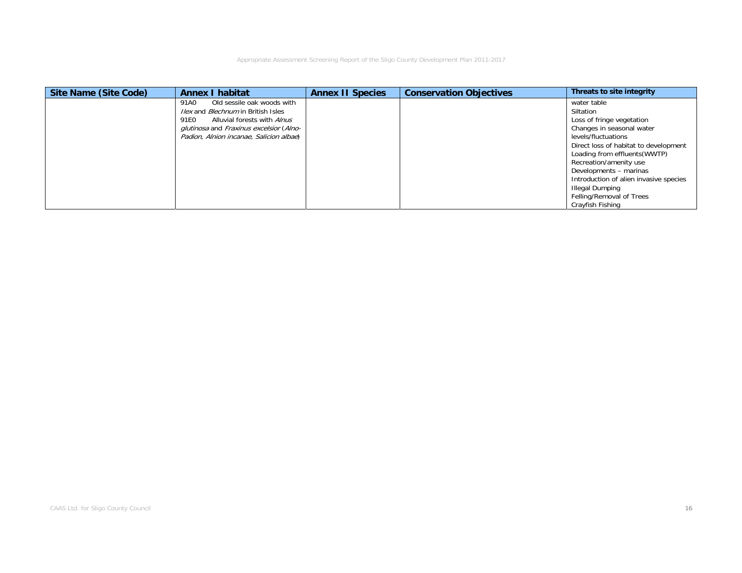| Site Name (Site Code) | <b>Annex I habitat</b>                           | <b>Annex II Species</b> | <b>Conservation Objectives</b> | Threats to site integrity              |
|-----------------------|--------------------------------------------------|-------------------------|--------------------------------|----------------------------------------|
|                       | Old sessile oak woods with<br>91A0               |                         |                                | water table                            |
|                       | <i>llex</i> and <i>Blechnum</i> in British Isles |                         |                                | Siltation                              |
|                       | 91E0<br>Alluvial forests with Alnus              |                         |                                | Loss of fringe vegetation              |
|                       | glutinosa and Fraxinus excelsior (Alno-          |                         |                                | Changes in seasonal water              |
|                       | Padion, Alnion incanae, Salicion albae)          |                         |                                | levels/fluctuations                    |
|                       |                                                  |                         |                                | Direct loss of habitat to development  |
|                       |                                                  |                         |                                | Loading from effluents (WWTP)          |
|                       |                                                  |                         |                                | Recreation/amenity use                 |
|                       |                                                  |                         |                                | Developments - marinas                 |
|                       |                                                  |                         |                                | Introduction of alien invasive species |
|                       |                                                  |                         |                                | <b>Illegal Dumping</b>                 |
|                       |                                                  |                         |                                | Felling/Removal of Trees               |
|                       |                                                  |                         |                                | Crayfish Fishing                       |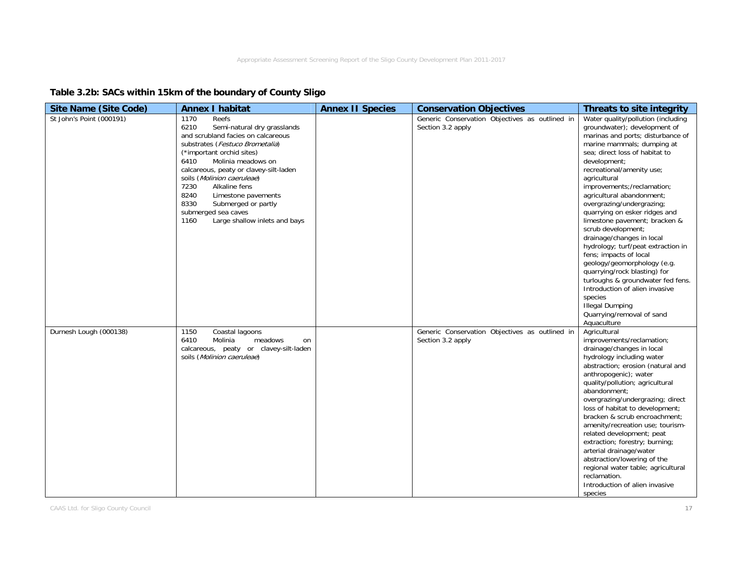## **Table 3.2b: SACs within 15km of the boundary of County Sligo**

| <b>Site Name (Site Code)</b> | <b>Annex I habitat</b>                                                                                                                                                                                                                                                                                                                                                                                                  | <b>Annex II Species</b> | <b>Conservation Objectives</b>                                      | Threats to site integrity                                                                                                                                                                                                                                                                                                                                                                                                                                                                                                                                                                                                                                                                                                                |
|------------------------------|-------------------------------------------------------------------------------------------------------------------------------------------------------------------------------------------------------------------------------------------------------------------------------------------------------------------------------------------------------------------------------------------------------------------------|-------------------------|---------------------------------------------------------------------|------------------------------------------------------------------------------------------------------------------------------------------------------------------------------------------------------------------------------------------------------------------------------------------------------------------------------------------------------------------------------------------------------------------------------------------------------------------------------------------------------------------------------------------------------------------------------------------------------------------------------------------------------------------------------------------------------------------------------------------|
| St John's Point (000191)     | 1170<br>Reefs<br>6210<br>Semi-natural dry grasslands<br>and scrubland facies on calcareous<br>substrates (Festuco Brometalia)<br>(*important orchid sites)<br>Molinia meadows on<br>6410<br>calcareous, peaty or clavey-silt-laden<br>soils (Molinion caeruleae)<br>7230<br>Alkaline fens<br>8240<br>Limestone pavements<br>8330<br>Submerged or partly<br>submerged sea caves<br>1160<br>Large shallow inlets and bays |                         | Generic Conservation Objectives as outlined in<br>Section 3.2 apply | Water quality/pollution (including<br>groundwater); development of<br>marinas and ports; disturbance of<br>marine mammals; dumping at<br>sea; direct loss of habitat to<br>development;<br>recreational/amenity use;<br>agricultural<br>improvements;/reclamation;<br>agricultural abandonment;<br>overgrazing/undergrazing;<br>quarrying on esker ridges and<br>limestone pavement; bracken &<br>scrub development;<br>drainage/changes in local<br>hydrology; turf/peat extraction in<br>fens; impacts of local<br>geology/geomorphology (e.g.<br>quarrying/rock blasting) for<br>turloughs & groundwater fed fens.<br>Introduction of alien invasive<br>species<br><b>Illegal Dumping</b><br>Quarrying/removal of sand<br>Aquaculture |
| Durnesh Lough (000138)       | 1150<br>Coastal lagoons<br>6410<br>Molinia<br>meadows<br>on<br>calcareous, peaty or clavey-silt-laden<br>soils (Molinion caeruleae)                                                                                                                                                                                                                                                                                     |                         | Generic Conservation Objectives as outlined in<br>Section 3.2 apply | Agricultural<br>improvements/reclamation;<br>drainage/changes in local<br>hydrology including water<br>abstraction; erosion (natural and<br>anthropogenic); water<br>quality/pollution; agricultural<br>abandonment:<br>overgrazing/undergrazing; direct<br>loss of habitat to development;<br>bracken & scrub encroachment;<br>amenity/recreation use; tourism-<br>related development; peat<br>extraction; forestry; burning;<br>arterial drainage/water<br>abstraction/lowering of the<br>regional water table; agricultural<br>reclamation.<br>Introduction of alien invasive<br>species                                                                                                                                             |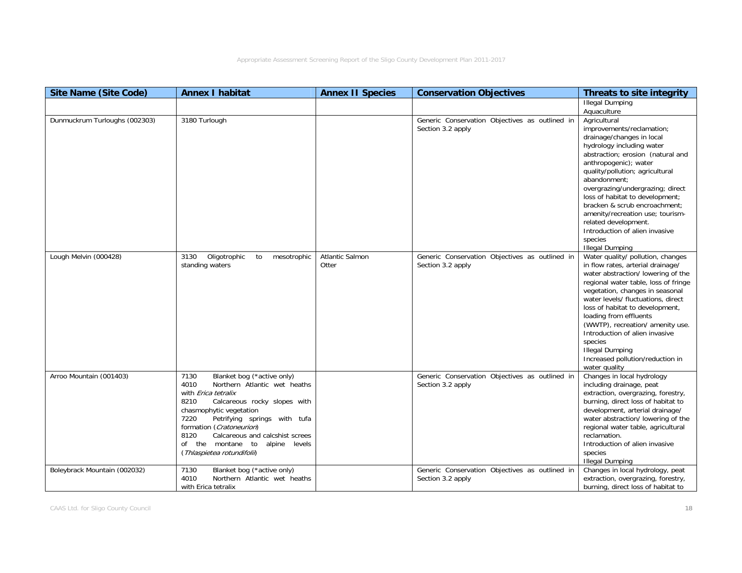| <b>Site Name (Site Code)</b>  | <b>Annex I habitat</b>                                                                                                                                                                                                                                                                                                                                      | <b>Annex II Species</b>  | <b>Conservation Objectives</b>                                      | Threats to site integrity                                                                                                                                                                                                                                                                                                                                                                                                                                       |
|-------------------------------|-------------------------------------------------------------------------------------------------------------------------------------------------------------------------------------------------------------------------------------------------------------------------------------------------------------------------------------------------------------|--------------------------|---------------------------------------------------------------------|-----------------------------------------------------------------------------------------------------------------------------------------------------------------------------------------------------------------------------------------------------------------------------------------------------------------------------------------------------------------------------------------------------------------------------------------------------------------|
|                               |                                                                                                                                                                                                                                                                                                                                                             |                          |                                                                     | <b>Illegal Dumping</b><br>Aquaculture                                                                                                                                                                                                                                                                                                                                                                                                                           |
| Dunmuckrum Turloughs (002303) | 3180 Turlough                                                                                                                                                                                                                                                                                                                                               |                          | Generic Conservation Objectives as outlined in<br>Section 3.2 apply | Agricultural<br>improvements/reclamation;<br>drainage/changes in local<br>hydrology including water<br>abstraction; erosion (natural and<br>anthropogenic); water<br>quality/pollution; agricultural<br>abandonment;<br>overgrazing/undergrazing; direct<br>loss of habitat to development;<br>bracken & scrub encroachment:<br>amenity/recreation use; tourism-<br>related development.<br>Introduction of alien invasive<br>species<br><b>Illegal Dumping</b> |
| Lough Melvin (000428)         | Oligotrophic<br>3130<br>to<br>mesotrophic<br>standing waters                                                                                                                                                                                                                                                                                                | Atlantic Salmon<br>Otter | Generic Conservation Objectives as outlined in<br>Section 3.2 apply | Water quality/ pollution, changes<br>in flow rates, arterial drainage/<br>water abstraction/ lowering of the<br>regional water table, loss of fringe<br>vegetation, changes in seasonal<br>water levels/ fluctuations, direct<br>loss of habitat to development,<br>loading from effluents<br>(WWTP), recreation/ amenity use.<br>Introduction of alien invasive<br>species<br><b>Illegal Dumping</b><br>Increased pollution/reduction in<br>water quality      |
| Arroo Mountain (001403)       | Blanket bog (*active only)<br>7130<br>Northern Atlantic wet heaths<br>4010<br>with <i>Erica tetralix</i><br>Calcareous rocky slopes with<br>8210<br>chasmophytic vegetation<br>7220<br>Petrifying springs with tufa<br>formation (Cratoneurion)<br>8120<br>Calcareous and calcshist screes<br>of the montane to alpine levels<br>(Thlaspietea rotundifolii) |                          | Generic Conservation Objectives as outlined in<br>Section 3.2 apply | Changes in local hydrology<br>including drainage, peat<br>extraction, overgrazing, forestry,<br>burning, direct loss of habitat to<br>development, arterial drainage/<br>water abstraction/ lowering of the<br>regional water table, agricultural<br>reclamation.<br>Introduction of alien invasive<br>species<br><b>Illegal Dumping</b>                                                                                                                        |
| Boleybrack Mountain (002032)  | Blanket bog (*active only)<br>7130<br>4010<br>Northern Atlantic wet heaths<br>with Erica tetralix                                                                                                                                                                                                                                                           |                          | Generic Conservation Objectives as outlined in<br>Section 3.2 apply | Changes in local hydrology, peat<br>extraction, overgrazing, forestry,<br>burning, direct loss of habitat to                                                                                                                                                                                                                                                                                                                                                    |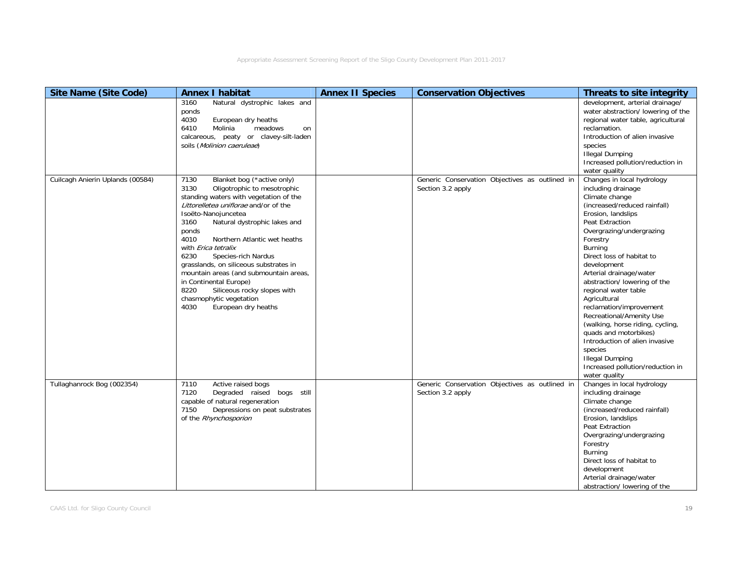| <b>Site Name (Site Code)</b>     | <b>Annex I habitat</b>                                                                                                                                                                                                                                                                                                                                                                                                                                                                                                                            | <b>Annex II Species</b> | <b>Conservation Objectives</b>                                      | Threats to site integrity                                                                                                                                                                                                                                                                                                                                                                                                                                                                                                                                                                     |
|----------------------------------|---------------------------------------------------------------------------------------------------------------------------------------------------------------------------------------------------------------------------------------------------------------------------------------------------------------------------------------------------------------------------------------------------------------------------------------------------------------------------------------------------------------------------------------------------|-------------------------|---------------------------------------------------------------------|-----------------------------------------------------------------------------------------------------------------------------------------------------------------------------------------------------------------------------------------------------------------------------------------------------------------------------------------------------------------------------------------------------------------------------------------------------------------------------------------------------------------------------------------------------------------------------------------------|
|                                  | Natural dystrophic lakes and<br>3160<br>ponds<br>4030<br>European dry heaths<br>Molinia<br>meadows<br>6410<br>on<br>calcareous, peaty or clavey-silt-laden<br>soils (Molinion caeruleae)                                                                                                                                                                                                                                                                                                                                                          |                         |                                                                     | development, arterial drainage/<br>water abstraction/ lowering of the<br>regional water table, agricultural<br>reclamation.<br>Introduction of alien invasive<br>species<br><b>Illegal Dumping</b><br>Increased pollution/reduction in<br>water quality                                                                                                                                                                                                                                                                                                                                       |
| Cuilcagh Anierin Uplands (00584) | Blanket bog (*active only)<br>7130<br>3130<br>Oligotrophic to mesotrophic<br>standing waters with vegetation of the<br>Littorelletea uniflorae and/or of the<br>Isoëto-Nanojuncetea<br>Natural dystrophic lakes and<br>3160<br>ponds<br>4010<br>Northern Atlantic wet heaths<br>with Erica tetralix<br>6230<br>Species-rich Nardus<br>grasslands, on siliceous substrates in<br>mountain areas (and submountain areas,<br>in Continental Europe)<br>8220<br>Siliceous rocky slopes with<br>chasmophytic vegetation<br>European dry heaths<br>4030 |                         | Generic Conservation Objectives as outlined in<br>Section 3.2 apply | Changes in local hydrology<br>including drainage<br>Climate change<br>(increased/reduced rainfall)<br>Erosion, landslips<br>Peat Extraction<br>Overgrazing/undergrazing<br>Forestry<br>Burning<br>Direct loss of habitat to<br>development<br>Arterial drainage/water<br>abstraction/ lowering of the<br>regional water table<br>Agricultural<br>reclamation/improvement<br>Recreational/Amenity Use<br>(walking, horse riding, cycling,<br>quads and motorbikes)<br>Introduction of alien invasive<br>species<br><b>Illegal Dumping</b><br>Increased pollution/reduction in<br>water quality |
| Tullaghanrock Bog (002354)       | Active raised bogs<br>7110<br>Degraded raised bogs still<br>7120<br>capable of natural regeneration<br>7150<br>Depressions on peat substrates<br>of the Rhynchosporion                                                                                                                                                                                                                                                                                                                                                                            |                         | Generic Conservation Objectives as outlined in<br>Section 3.2 apply | Changes in local hydrology<br>including drainage<br>Climate change<br>(increased/reduced rainfall)<br>Erosion, landslips<br>Peat Extraction<br>Overgrazing/undergrazing<br>Forestry<br>Burning<br>Direct loss of habitat to<br>development<br>Arterial drainage/water<br>abstraction/ lowering of the                                                                                                                                                                                                                                                                                         |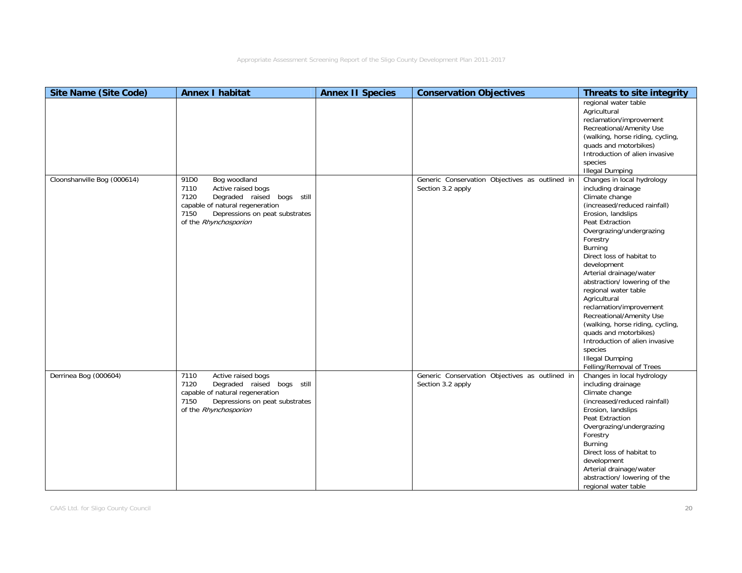| <b>Site Name (Site Code)</b> | <b>Annex I habitat</b>                                                                                                                                                                                     | <b>Annex II Species</b> | <b>Conservation Objectives</b>                                      | Threats to site integrity                                                                                                                                                                                                                                                                                                                                                                                                                                                                                                                                            |
|------------------------------|------------------------------------------------------------------------------------------------------------------------------------------------------------------------------------------------------------|-------------------------|---------------------------------------------------------------------|----------------------------------------------------------------------------------------------------------------------------------------------------------------------------------------------------------------------------------------------------------------------------------------------------------------------------------------------------------------------------------------------------------------------------------------------------------------------------------------------------------------------------------------------------------------------|
|                              |                                                                                                                                                                                                            |                         |                                                                     | regional water table<br>Agricultural<br>reclamation/improvement<br>Recreational/Amenity Use<br>(walking, horse riding, cycling,<br>quads and motorbikes)<br>Introduction of alien invasive<br>species<br><b>Illegal Dumping</b>                                                                                                                                                                                                                                                                                                                                      |
| Cloonshanville Bog (000614)  | Bog woodland<br>91D <sub>0</sub><br>Active raised bogs<br>7110<br>7120<br>Degraded raised bogs still<br>capable of natural regeneration<br>Depressions on peat substrates<br>7150<br>of the Rhynchosporion |                         | Generic Conservation Objectives as outlined in<br>Section 3.2 apply | Changes in local hydrology<br>including drainage<br>Climate change<br>(increased/reduced rainfall)<br>Erosion, landslips<br>Peat Extraction<br>Overgrazing/undergrazing<br>Forestry<br>Burning<br>Direct loss of habitat to<br>development<br>Arterial drainage/water<br>abstraction/ lowering of the<br>regional water table<br>Agricultural<br>reclamation/improvement<br>Recreational/Amenity Use<br>(walking, horse riding, cycling,<br>quads and motorbikes)<br>Introduction of alien invasive<br>species<br><b>Illegal Dumping</b><br>Felling/Removal of Trees |
| Derrinea Bog (000604)        | Active raised bogs<br>7110<br>Degraded raised bogs still<br>7120<br>capable of natural regeneration<br>Depressions on peat substrates<br>7150<br>of the Rhynchosporion                                     |                         | Generic Conservation Objectives as outlined in<br>Section 3.2 apply | Changes in local hydrology<br>including drainage<br>Climate change<br>(increased/reduced rainfall)<br>Erosion, landslips<br>Peat Extraction<br>Overgrazing/undergrazing<br>Forestry<br>Burning<br>Direct loss of habitat to<br>development<br>Arterial drainage/water<br>abstraction/ lowering of the<br>regional water table                                                                                                                                                                                                                                        |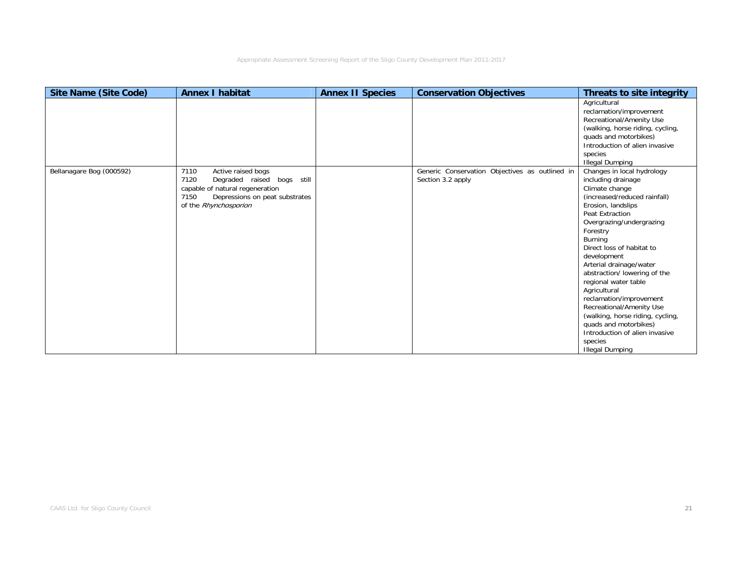| <b>Site Name (Site Code)</b> | <b>Annex I habitat</b>                                                                                                                                                 | <b>Annex II Species</b> | <b>Conservation Objectives</b>                                      | Threats to site integrity                                                                                                                                                                                                                                                                                                                                                                                                                                                                                                               |
|------------------------------|------------------------------------------------------------------------------------------------------------------------------------------------------------------------|-------------------------|---------------------------------------------------------------------|-----------------------------------------------------------------------------------------------------------------------------------------------------------------------------------------------------------------------------------------------------------------------------------------------------------------------------------------------------------------------------------------------------------------------------------------------------------------------------------------------------------------------------------------|
|                              |                                                                                                                                                                        |                         |                                                                     | Agricultural<br>reclamation/improvement<br>Recreational/Amenity Use<br>(walking, horse riding, cycling,<br>quads and motorbikes)<br>Introduction of alien invasive                                                                                                                                                                                                                                                                                                                                                                      |
|                              |                                                                                                                                                                        |                         |                                                                     | species<br><b>Illegal Dumping</b>                                                                                                                                                                                                                                                                                                                                                                                                                                                                                                       |
| Bellanagare Bog (000592)     | 7110<br>Active raised bogs<br>7120<br>Degraded raised bogs still<br>capable of natural regeneration<br>Depressions on peat substrates<br>7150<br>of the Rhynchosporion |                         | Generic Conservation Objectives as outlined in<br>Section 3.2 apply | Changes in local hydrology<br>including drainage<br>Climate change<br>(increased/reduced rainfall)<br>Erosion, landslips<br>Peat Extraction<br>Overgrazing/undergrazing<br>Forestry<br>Burning<br>Direct loss of habitat to<br>development<br>Arterial drainage/water<br>abstraction/lowering of the<br>regional water table<br>Agricultural<br>reclamation/improvement<br>Recreational/Amenity Use<br>(walking, horse riding, cycling,<br>quads and motorbikes)<br>Introduction of alien invasive<br>species<br><b>Illegal Dumping</b> |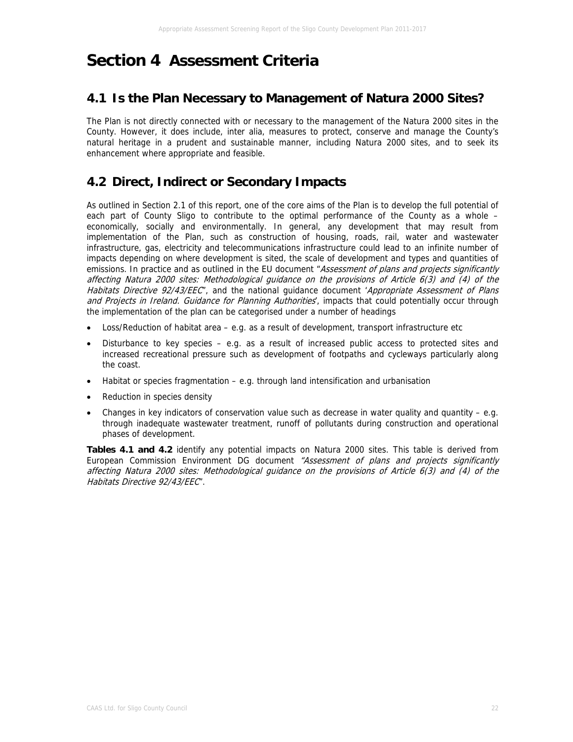# **Section 4 Assessment Criteria**

## **4.1 Is the Plan Necessary to Management of Natura 2000 Sites?**

The Plan is not directly connected with or necessary to the management of the Natura 2000 sites in the County. However, it does include, inter alia, measures to protect, conserve and manage the County's natural heritage in a prudent and sustainable manner, including Natura 2000 sites, and to seek its enhancement where appropriate and feasible.

# **4.2 Direct, Indirect or Secondary Impacts**

As outlined in Section 2.1 of this report, one of the core aims of the Plan is to develop the full potential of each part of County Sligo to contribute to the optimal performance of the County as a whole – economically, socially and environmentally. In general, any development that may result from implementation of the Plan, such as construction of housing, roads, rail, water and wastewater infrastructure, gas, electricity and telecommunications infrastructure could lead to an infinite number of impacts depending on where development is sited, the scale of development and types and quantities of emissions. In practice and as outlined in the EU document "Assessment of plans and projects significantly affecting Natura 2000 sites: Methodological guidance on the provisions of Article 6(3) and (4) of the Habitats Directive 92/43/EEC", and the national guidance document 'Appropriate Assessment of Plans and Projects in Ireland. Guidance for Planning Authorities, impacts that could potentially occur through the implementation of the plan can be categorised under a number of headings

- Loss/Reduction of habitat area e.g. as a result of development, transport infrastructure etc
- Disturbance to key species e.g. as a result of increased public access to protected sites and increased recreational pressure such as development of footpaths and cycleways particularly along the coast.
- Habitat or species fragmentation e.g. through land intensification and urbanisation
- Reduction in species density
- Changes in key indicators of conservation value such as decrease in water quality and quantity  $-$  e.g. through inadequate wastewater treatment, runoff of pollutants during construction and operational phases of development.

**Tables 4.1 and 4.2** identify any potential impacts on Natura 2000 sites. This table is derived from European Commission Environment DG document "Assessment of plans and projects significantly affecting Natura 2000 sites: Methodological guidance on the provisions of Article 6(3) and (4) of the Habitats Directive 92/43/EEC".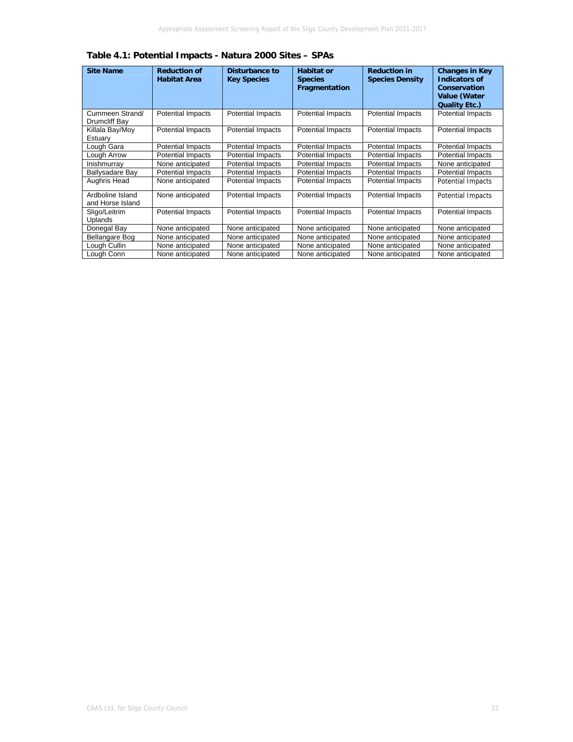| <b>Site Name</b>                     | <b>Reduction of</b><br><b>Habitat Area</b> | Disturbance to<br><b>Key Species</b> | <b>Habitat or</b><br><b>Species</b><br>Fragmentation | <b>Reduction in</b><br><b>Species Density</b> | <b>Changes in Key</b><br><b>Indicators of</b><br>Conservation<br>Value (Water<br><b>Quality Etc.)</b> |
|--------------------------------------|--------------------------------------------|--------------------------------------|------------------------------------------------------|-----------------------------------------------|-------------------------------------------------------------------------------------------------------|
| Cummeen Strand/<br>Drumcliff Bay     | <b>Potential Impacts</b>                   | Potential Impacts                    | Potential Impacts                                    | <b>Potential Impacts</b>                      | Potential Impacts                                                                                     |
| Killala Bay/Moy<br>Estuary           | <b>Potential Impacts</b>                   | <b>Potential Impacts</b>             | <b>Potential Impacts</b>                             | <b>Potential Impacts</b>                      | <b>Potential Impacts</b>                                                                              |
| Lough Gara                           | <b>Potential Impacts</b>                   | <b>Potential Impacts</b>             | <b>Potential Impacts</b>                             | <b>Potential Impacts</b>                      | <b>Potential Impacts</b>                                                                              |
| Lough Arrow                          | <b>Potential Impacts</b>                   | <b>Potential Impacts</b>             | <b>Potential Impacts</b>                             | <b>Potential Impacts</b>                      | <b>Potential Impacts</b>                                                                              |
| Inishmurray                          | None anticipated                           | <b>Potential Impacts</b>             | Potential Impacts                                    | <b>Potential Impacts</b>                      | None anticipated                                                                                      |
| Ballysadare Bay                      | <b>Potential Impacts</b>                   | <b>Potential Impacts</b>             | <b>Potential Impacts</b>                             | <b>Potential Impacts</b>                      | <b>Potential Impacts</b>                                                                              |
| Aughris Head                         | None anticipated                           | <b>Potential Impacts</b>             | <b>Potential Impacts</b>                             | <b>Potential Impacts</b>                      | <b>Potential Impacts</b>                                                                              |
| Ardboline Island<br>and Horse Island | None anticipated                           | <b>Potential Impacts</b>             | <b>Potential Impacts</b>                             | <b>Potential Impacts</b>                      | Potential Impacts                                                                                     |
| Sligo/Leitrim<br>Uplands             | <b>Potential Impacts</b>                   | <b>Potential Impacts</b>             | <b>Potential Impacts</b>                             | <b>Potential Impacts</b>                      | <b>Potential Impacts</b>                                                                              |
| Donegal Bay                          | None anticipated                           | None anticipated                     | None anticipated                                     | None anticipated                              | None anticipated                                                                                      |
| Bellangare Bog                       | None anticipated                           | None anticipated                     | None anticipated                                     | None anticipated                              | None anticipated                                                                                      |
| Lough Cullin                         | None anticipated                           | None anticipated                     | None anticipated                                     | None anticipated                              | None anticipated                                                                                      |
| Lough Conn                           | None anticipated                           | None anticipated                     | None anticipated                                     | None anticipated                              | None anticipated                                                                                      |

**Table 4.1: Potential Impacts - Natura 2000 Sites – SPAs**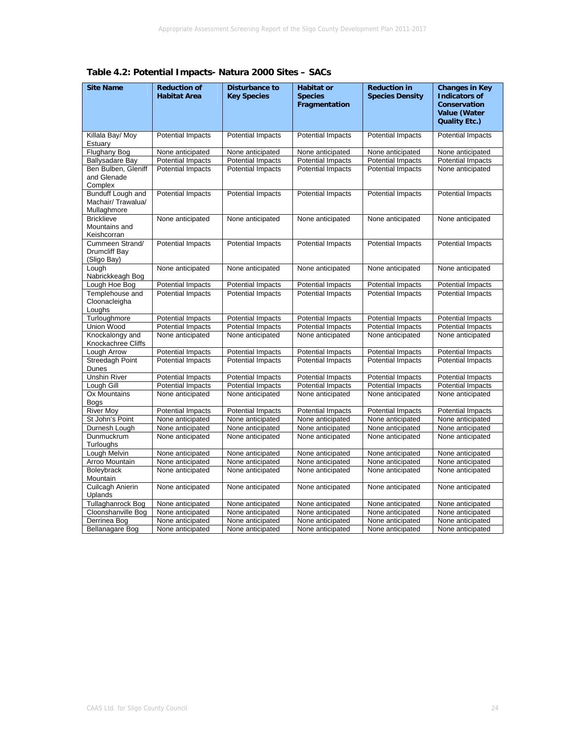| <b>Site Name</b>                                       | <b>Reduction of</b><br><b>Habitat Area</b> | <b>Disturbance to</b><br><b>Key Species</b> | <b>Habitat or</b><br><b>Species</b><br>Fragmentation | <b>Reduction in</b><br><b>Species Density</b> | <b>Changes in Key</b><br><b>Indicators of</b><br>Conservation<br>Value (Water<br><b>Quality Etc.)</b> |
|--------------------------------------------------------|--------------------------------------------|---------------------------------------------|------------------------------------------------------|-----------------------------------------------|-------------------------------------------------------------------------------------------------------|
| Killala Bay/ Moy<br>Estuary                            | <b>Potential Impacts</b>                   | <b>Potential Impacts</b>                    | <b>Potential Impacts</b>                             | Potential Impacts                             | <b>Potential Impacts</b>                                                                              |
| <b>Flughany Bog</b>                                    | None anticipated                           | None anticipated                            | None anticipated                                     | None anticipated                              | None anticipated                                                                                      |
| <b>Ballysadare Bay</b>                                 | <b>Potential Impacts</b>                   | <b>Potential Impacts</b>                    | <b>Potential Impacts</b>                             | <b>Potential Impacts</b>                      | <b>Potential Impacts</b>                                                                              |
| Ben Bulben, Gleniff<br>and Glenade<br>Complex          | <b>Potential Impacts</b>                   | <b>Potential Impacts</b>                    | Potential Impacts                                    | <b>Potential Impacts</b>                      | None anticipated                                                                                      |
| Bunduff Lough and<br>Machair/ Trawalua/<br>Mullaghmore | <b>Potential Impacts</b>                   | <b>Potential Impacts</b>                    | <b>Potential Impacts</b>                             | <b>Potential Impacts</b>                      | <b>Potential Impacts</b>                                                                              |
| <b>Bricklieve</b><br>Mountains and<br>Keishcorran      | None anticipated                           | None anticipated                            | None anticipated                                     | None anticipated                              | None anticipated                                                                                      |
| Cummeen Strand/<br>Drumcliff Bay<br>(Sligo Bay)        | <b>Potential Impacts</b>                   | <b>Potential Impacts</b>                    | <b>Potential Impacts</b>                             | <b>Potential Impacts</b>                      | <b>Potential Impacts</b>                                                                              |
| Lough<br>Nabrickkeagh Bog                              | None anticipated                           | None anticipated                            | None anticipated                                     | None anticipated                              | None anticipated                                                                                      |
| Lough Hoe Bog                                          | <b>Potential Impacts</b>                   | <b>Potential Impacts</b>                    | <b>Potential Impacts</b>                             | <b>Potential Impacts</b>                      | <b>Potential Impacts</b>                                                                              |
| Templehouse and<br>Cloonacleigha<br>Loughs             | <b>Potential Impacts</b>                   | <b>Potential Impacts</b>                    | <b>Potential Impacts</b>                             | <b>Potential Impacts</b>                      | <b>Potential Impacts</b>                                                                              |
| Turloughmore                                           | <b>Potential Impacts</b>                   | <b>Potential Impacts</b>                    | <b>Potential Impacts</b>                             | <b>Potential Impacts</b>                      | <b>Potential Impacts</b>                                                                              |
| Union Wood                                             | <b>Potential Impacts</b>                   | <b>Potential Impacts</b>                    | <b>Potential Impacts</b>                             | <b>Potential Impacts</b>                      | <b>Potential Impacts</b>                                                                              |
| Knockalongy and<br>Knockachree Cliffs                  | None anticipated                           | None anticipated                            | None anticipated                                     | None anticipated                              | None anticipated                                                                                      |
| Lough Arrow                                            | <b>Potential Impacts</b>                   | <b>Potential Impacts</b>                    | <b>Potential Impacts</b>                             | <b>Potential Impacts</b>                      | <b>Potential Impacts</b>                                                                              |
| <b>Streedagh Point</b><br>Dunes                        | Potential Impacts                          | <b>Potential Impacts</b>                    | <b>Potential Impacts</b>                             | <b>Potential Impacts</b>                      | <b>Potential Impacts</b>                                                                              |
| <b>Unshin River</b>                                    | <b>Potential Impacts</b>                   | <b>Potential Impacts</b>                    | <b>Potential Impacts</b>                             | <b>Potential Impacts</b>                      | <b>Potential Impacts</b>                                                                              |
| Lough Gill                                             | <b>Potential Impacts</b>                   | <b>Potential Impacts</b>                    | <b>Potential Impacts</b>                             | <b>Potential Impacts</b>                      | <b>Potential Impacts</b>                                                                              |
| Ox Mountains<br>Bogs                                   | None anticipated                           | None anticipated                            | None anticipated                                     | None anticipated                              | None anticipated                                                                                      |
| <b>River Moy</b>                                       | <b>Potential Impacts</b>                   | <b>Potential Impacts</b>                    | <b>Potential Impacts</b>                             | <b>Potential Impacts</b>                      | <b>Potential Impacts</b>                                                                              |
| St John's Point                                        | None anticipated                           | None anticipated                            | None anticipated                                     | None anticipated                              | None anticipated                                                                                      |
| Durnesh Lough                                          | None anticipated                           | None anticipated                            | None anticipated                                     | None anticipated                              | None anticipated                                                                                      |
| Dunmuckrum<br>Turloughs                                | None anticipated                           | None anticipated                            | None anticipated                                     | None anticipated                              | None anticipated                                                                                      |
| Lough Melvin                                           | None anticipated                           | None anticipated                            | None anticipated                                     | None anticipated                              | None anticipated                                                                                      |
| Arroo Mountain                                         | None anticipated                           | None anticipated                            | None anticipated                                     | None anticipated                              | None anticipated                                                                                      |
| Boleybrack<br>Mountain                                 | None anticipated                           | None anticipated                            | None anticipated                                     | None anticipated                              | None anticipated                                                                                      |
| Cuilcagh Anierin<br>Uplands                            | None anticipated                           | None anticipated                            | None anticipated                                     | None anticipated                              | None anticipated                                                                                      |
| <b>Tullaghanrock Bog</b>                               | None anticipated                           | None anticipated                            | None anticipated                                     | None anticipated                              | None anticipated                                                                                      |
| Cloonshanville Bog                                     | None anticipated                           | None anticipated                            | None anticipated                                     | None anticipated                              | None anticipated                                                                                      |
| Derrinea Bog                                           | None anticipated                           | None anticipated                            | None anticipated                                     | None anticipated                              | None anticipated                                                                                      |
| Bellanagare Bog                                        | None anticipated                           | None anticipated                            | None anticipated                                     | None anticipated                              | None anticipated                                                                                      |

**Table 4.2: Potential Impacts- Natura 2000 Sites – SACs**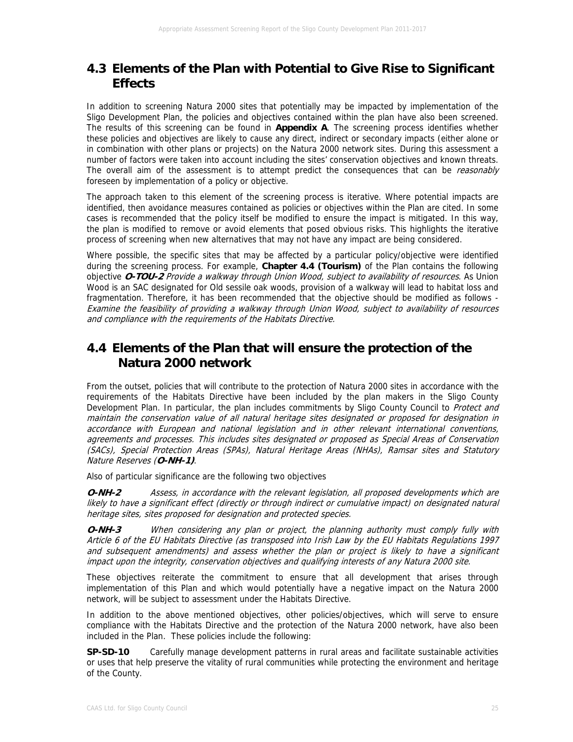# **4.3 Elements of the Plan with Potential to Give Rise to Significant Effects**

In addition to screening Natura 2000 sites that potentially may be impacted by implementation of the Sligo Development Plan, the policies and objectives contained within the plan have also been screened. The results of this screening can be found in **Appendix A**. The screening process identifies whether these policies and objectives are likely to cause any direct, indirect or secondary impacts (either alone or in combination with other plans or projects) on the Natura 2000 network sites. During this assessment a number of factors were taken into account including the sites' conservation objectives and known threats. The overall aim of the assessment is to attempt predict the consequences that can be reasonably foreseen by implementation of a policy or objective.

The approach taken to this element of the screening process is iterative. Where potential impacts are identified, then avoidance measures contained as policies or objectives within the Plan are cited. In some cases is recommended that the policy itself be modified to ensure the impact is mitigated. In this way, the plan is modified to remove or avoid elements that posed obvious risks. This highlights the iterative process of screening when new alternatives that may not have any impact are being considered.

Where possible, the specific sites that may be affected by a particular policy/objective were identified during the screening process. For example, **Chapter 4.4 (Tourism)** of the Plan contains the following objective **O-TOU-2** Provide a walkway through Union Wood, subject to availability of resources. As Union Wood is an SAC designated for Old sessile oak woods, provision of a walkway will lead to habitat loss and fragmentation. Therefore, it has been recommended that the objective should be modified as follows - Examine the feasibility of providing a walkway through Union Wood, subject to availability of resources and compliance with the requirements of the Habitats Directive.

## **4.4 Elements of the Plan that will ensure the protection of the Natura 2000 network**

From the outset, policies that will contribute to the protection of Natura 2000 sites in accordance with the requirements of the Habitats Directive have been included by the plan makers in the Sligo County Development Plan. In particular, the plan includes commitments by Sligo County Council to Protect and maintain the conservation value of all natural heritage sites designated or proposed for designation in accordance with European and national legislation and in other relevant international conventions, agreements and processes. This includes sites designated or proposed as Special Areas of Conservation (SACs), Special Protection Areas (SPAs), Natural Heritage Areas (NHAs), Ramsar sites and Statutory Nature Reserves (**O-NH-1)**.

Also of particular significance are the following two objectives

**O-NH-2** Assess, in accordance with the relevant legislation, all proposed developments which are likely to have a significant effect (directly or through indirect or cumulative impact) on designated natural heritage sites, sites proposed for designation and protected species.

**O-NH-3** When considering any plan or project, the planning authority must comply fully with Article 6 of the EU Habitats Directive (as transposed into Irish Law by the EU Habitats Regulations 1997 and subsequent amendments) and assess whether the plan or project is likely to have a significant impact upon the integrity, conservation objectives and qualifying interests of any Natura 2000 site.

These objectives reiterate the commitment to ensure that all development that arises through implementation of this Plan and which would potentially have a negative impact on the Natura 2000 network, will be subject to assessment under the Habitats Directive.

In addition to the above mentioned objectives, other policies/objectives, which will serve to ensure compliance with the Habitats Directive and the protection of the Natura 2000 network, have also been included in the Plan. These policies include the following:

**SP-SD-10** Carefully manage development patterns in rural areas and facilitate sustainable activities or uses that help preserve the vitality of rural communities while protecting the environment and heritage of the County.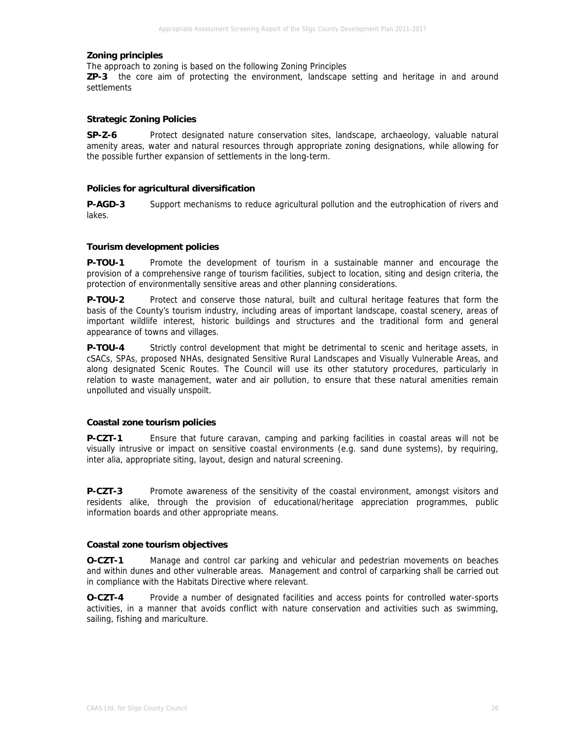#### **Zoning principles**

The approach to zoning is based on the following Zoning Principles

**ZP-3** the core aim of protecting the environment, landscape setting and heritage in and around settlements

#### **Strategic Zoning Policies**

**SP-Z-6** Protect designated nature conservation sites, landscape, archaeology, valuable natural amenity areas, water and natural resources through appropriate zoning designations, while allowing for the possible further expansion of settlements in the long-term.

#### **Policies for agricultural diversification**

**P-AGD-3** Support mechanisms to reduce agricultural pollution and the eutrophication of rivers and lakes.

#### **Tourism development policies**

**P-TOU-1** Promote the development of tourism in a sustainable manner and encourage the provision of a comprehensive range of tourism facilities, subject to location, siting and design criteria, the protection of environmentally sensitive areas and other planning considerations.

**P-TOU-2** Protect and conserve those natural, built and cultural heritage features that form the basis of the County's tourism industry, including areas of important landscape, coastal scenery, areas of important wildlife interest, historic buildings and structures and the traditional form and general appearance of towns and villages.

**P-TOU-4** Strictly control development that might be detrimental to scenic and heritage assets, in cSACs, SPAs, proposed NHAs, designated Sensitive Rural Landscapes and Visually Vulnerable Areas, and along designated Scenic Routes. The Council will use its other statutory procedures, particularly in relation to waste management, water and air pollution, to ensure that these natural amenities remain unpolluted and visually unspoilt.

#### **Coastal zone tourism policies**

**P-CZT-1** Ensure that future caravan, camping and parking facilities in coastal areas will not be visually intrusive or impact on sensitive coastal environments (e.g. sand dune systems), by requiring, inter alia, appropriate siting, layout, design and natural screening.

**P-CZT-3** Promote awareness of the sensitivity of the coastal environment, amongst visitors and residents alike, through the provision of educational/heritage appreciation programmes, public information boards and other appropriate means.

#### **Coastal zone tourism objectives**

**O-CZT-1** Manage and control car parking and vehicular and pedestrian movements on beaches and within dunes and other vulnerable areas. Management and control of carparking shall be carried out in compliance with the Habitats Directive where relevant.

**O-CZT-4** Provide a number of designated facilities and access points for controlled water-sports activities, in a manner that avoids conflict with nature conservation and activities such as swimming, sailing, fishing and mariculture.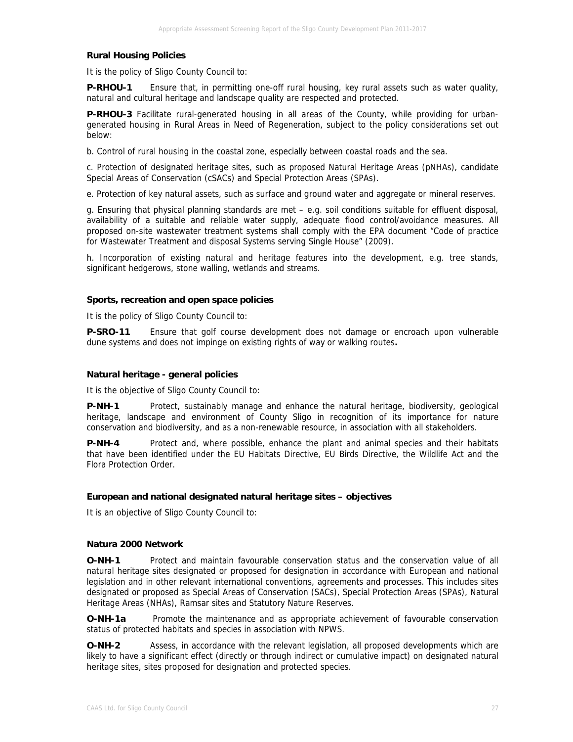#### **Rural Housing Policies**

It is the policy of Sligo County Council to:

**P-RHOU-1** Ensure that, in permitting one-off rural housing, key rural assets such as water quality, natural and cultural heritage and landscape quality are respected and protected.

**P-RHOU-3** Facilitate rural-generated housing in all areas of the County, while providing for urbangenerated housing in Rural Areas in Need of Regeneration, subject to the policy considerations set out below:

b. Control of rural housing in the coastal zone, especially between coastal roads and the sea.

c. Protection of designated heritage sites, such as proposed Natural Heritage Areas (pNHAs), candidate Special Areas of Conservation (cSACs) and Special Protection Areas (SPAs).

e. Protection of key natural assets, such as surface and ground water and aggregate or mineral reserves.

g. Ensuring that physical planning standards are met – e.g. soil conditions suitable for effluent disposal, availability of a suitable and reliable water supply, adequate flood control/avoidance measures. All proposed on-site wastewater treatment systems shall comply with the EPA document "Code of practice for Wastewater Treatment and disposal Systems serving Single House" (2009).

h. Incorporation of existing natural and heritage features into the development, e.g. tree stands, significant hedgerows, stone walling, wetlands and streams.

#### **Sports, recreation and open space policies**

It is the policy of Sligo County Council to:

**P-SRO-11** Ensure that golf course development does not damage or encroach upon vulnerable dune systems and does not impinge on existing rights of way or walking routes**.**

#### **Natural heritage - general policies**

It is the objective of Sligo County Council to:

**P-NH-1** Protect, sustainably manage and enhance the natural heritage, biodiversity, geological heritage, landscape and environment of County Sligo in recognition of its importance for nature conservation and biodiversity, and as a non-renewable resource, in association with all stakeholders.

**P-NH-4** Protect and, where possible, enhance the plant and animal species and their habitats that have been identified under the EU Habitats Directive, EU Birds Directive, the Wildlife Act and the Flora Protection Order.

#### **European and national designated natural heritage sites – objectives**

It is an objective of Sligo County Council to:

#### **Natura 2000 Network**

**O-NH-1** Protect and maintain favourable conservation status and the conservation value of all natural heritage sites designated or proposed for designation in accordance with European and national legislation and in other relevant international conventions, agreements and processes. This includes sites designated or proposed as Special Areas of Conservation (SACs), Special Protection Areas (SPAs), Natural Heritage Areas (NHAs), Ramsar sites and Statutory Nature Reserves.

**O-NH-1a** Promote the maintenance and as appropriate achievement of favourable conservation status of protected habitats and species in association with NPWS.

**O-NH-2** Assess, in accordance with the relevant legislation, all proposed developments which are likely to have a significant effect (directly or through indirect or cumulative impact) on designated natural heritage sites, sites proposed for designation and protected species.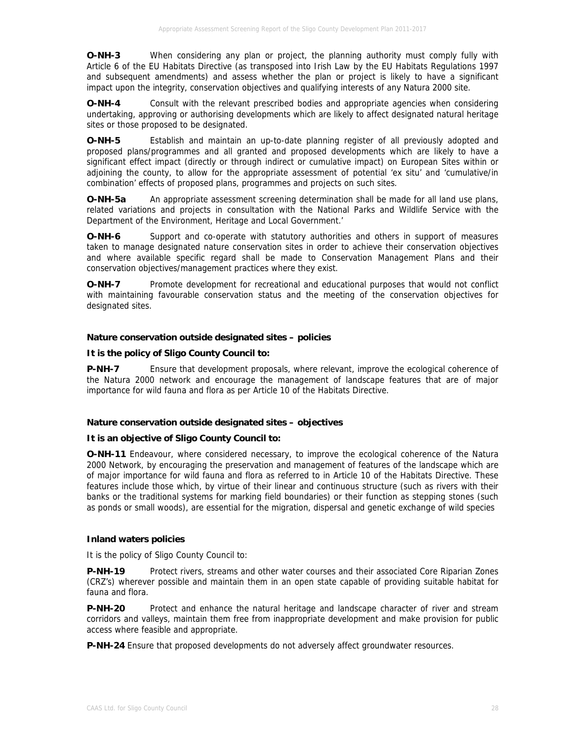**O-NH-3** When considering any plan or project, the planning authority must comply fully with Article 6 of the EU Habitats Directive (as transposed into Irish Law by the EU Habitats Regulations 1997 and subsequent amendments) and assess whether the plan or project is likely to have a significant impact upon the integrity, conservation objectives and qualifying interests of any Natura 2000 site.

**O-NH-4** Consult with the relevant prescribed bodies and appropriate agencies when considering undertaking, approving or authorising developments which are likely to affect designated natural heritage sites or those proposed to be designated.

**O-NH-5** Establish and maintain an up-to-date planning register of all previously adopted and proposed plans/programmes and all granted and proposed developments which are likely to have a significant effect impact (directly or through indirect or cumulative impact) on European Sites within or adjoining the county, to allow for the appropriate assessment of potential 'ex situ' and 'cumulative/in combination' effects of proposed plans, programmes and projects on such sites.

**O-NH-5a** An appropriate assessment screening determination shall be made for all land use plans, related variations and projects in consultation with the National Parks and Wildlife Service with the Department of the Environment, Heritage and Local Government.'

**O-NH-6** Support and co-operate with statutory authorities and others in support of measures taken to manage designated nature conservation sites in order to achieve their conservation objectives and where available specific regard shall be made to Conservation Management Plans and their conservation objectives/management practices where they exist.

**O-NH-7** Promote development for recreational and educational purposes that would not conflict with maintaining favourable conservation status and the meeting of the conservation objectives for designated sites.

### **Nature conservation outside designated sites – policies**

### **It is the policy of Sligo County Council to:**

**P-NH-7** Ensure that development proposals, where relevant, improve the ecological coherence of the Natura 2000 network and encourage the management of landscape features that are of major importance for wild fauna and flora as per Article 10 of the Habitats Directive.

### **Nature conservation outside designated sites – objectives**

### **It is an objective of Sligo County Council to:**

**O-NH-11** Endeavour, where considered necessary, to improve the ecological coherence of the Natura 2000 Network, by encouraging the preservation and management of features of the landscape which are of major importance for wild fauna and flora as referred to in Article 10 of the Habitats Directive. These features include those which, by virtue of their linear and continuous structure (such as rivers with their banks or the traditional systems for marking field boundaries) or their function as stepping stones (such as ponds or small woods), are essential for the migration, dispersal and genetic exchange of wild species

### **Inland waters policies**

It is the policy of Sligo County Council to:

**P-NH-19** Protect rivers, streams and other water courses and their associated Core Riparian Zones (CRZ's) wherever possible and maintain them in an open state capable of providing suitable habitat for fauna and flora.

**P-NH-20** Protect and enhance the natural heritage and landscape character of river and stream corridors and valleys, maintain them free from inappropriate development and make provision for public access where feasible and appropriate.

**P-NH-24** Ensure that proposed developments do not adversely affect groundwater resources.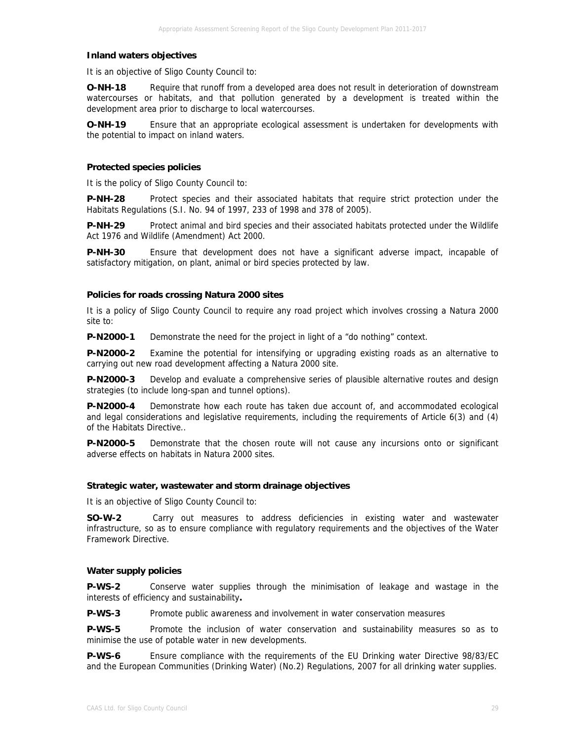#### **Inland waters objectives**

It is an objective of Sligo County Council to:

**O-NH-18** Require that runoff from a developed area does not result in deterioration of downstream watercourses or habitats, and that pollution generated by a development is treated within the development area prior to discharge to local watercourses.

**O-NH-19** Ensure that an appropriate ecological assessment is undertaken for developments with the potential to impact on inland waters.

#### **Protected species policies**

It is the policy of Sligo County Council to:

**P-NH-28** Protect species and their associated habitats that require strict protection under the Habitats Regulations (S.I. No. 94 of 1997, 233 of 1998 and 378 of 2005).

**P-NH-29** Protect animal and bird species and their associated habitats protected under the Wildlife Act 1976 and Wildlife (Amendment) Act 2000.

**P-NH-30** Ensure that development does not have a significant adverse impact, incapable of satisfactory mitigation, on plant, animal or bird species protected by law.

#### **Policies for roads crossing Natura 2000 sites**

It is a policy of Sligo County Council to require any road project which involves crossing a Natura 2000 site to:

**P-N2000-1** Demonstrate the need for the project in light of a "do nothing" context.

**P-N2000-2** Examine the potential for intensifying or upgrading existing roads as an alternative to carrying out new road development affecting a Natura 2000 site.

**P-N2000-3** Develop and evaluate a comprehensive series of plausible alternative routes and design strategies (to include long-span and tunnel options).

**P-N2000-4** Demonstrate how each route has taken due account of, and accommodated ecological and legal considerations and legislative requirements, including the requirements of Article 6(3) and (4) of the Habitats Directive..

**P-N2000-5** Demonstrate that the chosen route will not cause any incursions onto or significant adverse effects on habitats in Natura 2000 sites.

#### **Strategic water, wastewater and storm drainage objectives**

It is an objective of Sligo County Council to:

**SO-W-2** Carry out measures to address deficiencies in existing water and wastewater infrastructure, so as to ensure compliance with regulatory requirements and the objectives of the Water Framework Directive.

#### **Water supply policies**

**P-WS-2** Conserve water supplies through the minimisation of leakage and wastage in the interests of efficiency and sustainability**.** 

**P-WS-3** Promote public awareness and involvement in water conservation measures

**P-WS-5** Promote the inclusion of water conservation and sustainability measures so as to minimise the use of potable water in new developments.

**P-WS-6** Ensure compliance with the requirements of the EU Drinking water Directive 98/83/EC and the European Communities (Drinking Water) (No.2) Regulations, 2007 for all drinking water supplies.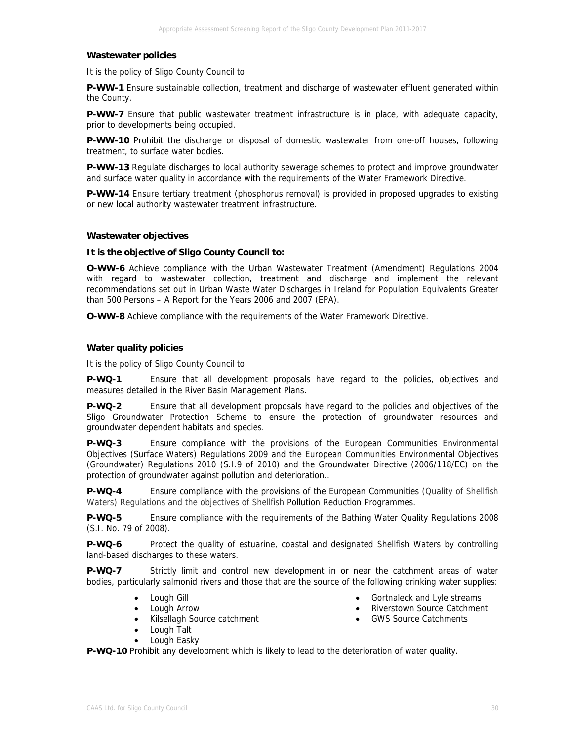#### **Wastewater policies**

It is the policy of Sligo County Council to:

**P-WW-1** Ensure sustainable collection, treatment and discharge of wastewater effluent generated within the County.

**P-WW-7** Ensure that public wastewater treatment infrastructure is in place, with adequate capacity, prior to developments being occupied.

**P-WW-10** Prohibit the discharge or disposal of domestic wastewater from one-off houses, following treatment, to surface water bodies.

**P-WW-13** Regulate discharges to local authority sewerage schemes to protect and improve groundwater and surface water quality in accordance with the requirements of the Water Framework Directive.

**P-WW-14** Ensure tertiary treatment (phosphorus removal) is provided in proposed upgrades to existing or new local authority wastewater treatment infrastructure.

#### **Wastewater objectives**

#### **It is the objective of Sligo County Council to:**

**O-WW-6** Achieve compliance with the Urban Wastewater Treatment (Amendment) Regulations 2004 with regard to wastewater collection, treatment and discharge and implement the relevant recommendations set out in Urban Waste Water Discharges in Ireland for Population Equivalents Greater than 500 Persons – A Report for the Years 2006 and 2007 (EPA).

**O-WW-8** Achieve compliance with the requirements of the Water Framework Directive.

#### **Water quality policies**

It is the policy of Sligo County Council to:

**P-WQ-1** Ensure that all development proposals have regard to the policies, objectives and measures detailed in the River Basin Management Plans.

**P-WQ-2** Ensure that all development proposals have regard to the policies and objectives of the Sligo Groundwater Protection Scheme to ensure the protection of groundwater resources and groundwater dependent habitats and species.

**P-WQ-3** Ensure compliance with the provisions of the European Communities Environmental Objectives (Surface Waters) Regulations 2009 and the European Communities Environmental Objectives (Groundwater) Regulations 2010 (S.I.9 of 2010) and the Groundwater Directive (2006/118/EC) on the protection of groundwater against pollution and deterioration..

**P-WQ-4** Ensure compliance with the provisions of the European Communities (Quality of Shellfish Waters) Regulations and the objectives of Shellfish Pollution Reduction Programmes.

**P-WQ-5** Ensure compliance with the requirements of the Bathing Water Quality Regulations 2008 (S.I. No. 79 of 2008).

**P-WQ-6** Protect the quality of estuarine, coastal and designated Shellfish Waters by controlling land-based discharges to these waters.

**P-WQ-7** Strictly limit and control new development in or near the catchment areas of water bodies, particularly salmonid rivers and those that are the source of the following drinking water supplies:

**P-WQ-10** Prohibit any development which is likely to lead to the deterioration of water quality.

- Lough Gill
- Lough Arrow
- Kilsellagh Source catchment
- Lough Talt
- Lough Easky
- Gortnaleck and Lyle streams
- Riverstown Source Catchment
- GWS Source Catchments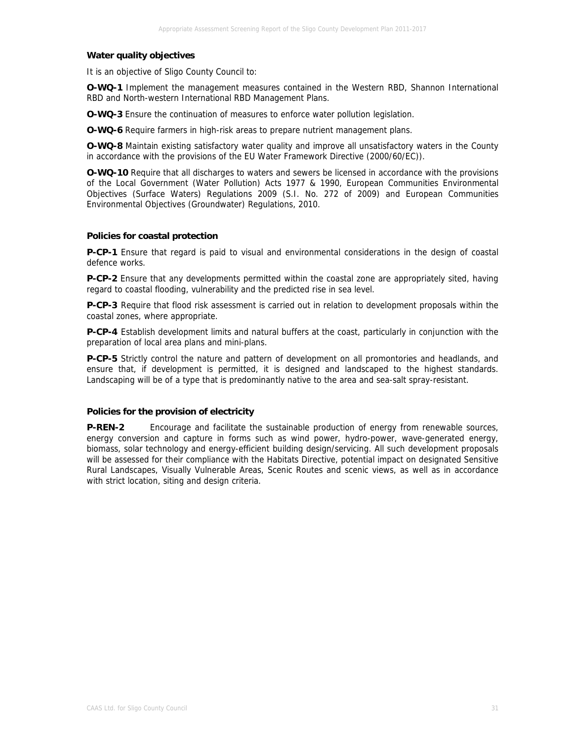#### **Water quality objectives**

It is an objective of Sligo County Council to:

**O-WQ-1** Implement the management measures contained in the Western RBD, Shannon International RBD and North-western International RBD Management Plans.

**O-WQ-3** Ensure the continuation of measures to enforce water pollution legislation.

**O-WQ-6** Require farmers in high-risk areas to prepare nutrient management plans.

**O-WQ-8** Maintain existing satisfactory water quality and improve all unsatisfactory waters in the County in accordance with the provisions of the EU Water Framework Directive (2000/60/EC)).

**O-WQ-10** Require that all discharges to waters and sewers be licensed in accordance with the provisions of the Local Government (Water Pollution) Acts 1977 & 1990, European Communities Environmental Objectives (Surface Waters) Regulations 2009 (S.I. No. 272 of 2009) and European Communities Environmental Objectives (Groundwater) Regulations, 2010.

#### **Policies for coastal protection**

**P-CP-1** Ensure that regard is paid to visual and environmental considerations in the design of coastal defence works.

**P-CP-2** Ensure that any developments permitted within the coastal zone are appropriately sited, having regard to coastal flooding, vulnerability and the predicted rise in sea level.

**P-CP-3** Require that flood risk assessment is carried out in relation to development proposals within the coastal zones, where appropriate.

**P-CP-4** Establish development limits and natural buffers at the coast, particularly in conjunction with the preparation of local area plans and mini-plans.

**P-CP-5** Strictly control the nature and pattern of development on all promontories and headlands, and ensure that, if development is permitted, it is designed and landscaped to the highest standards. Landscaping will be of a type that is predominantly native to the area and sea-salt spray-resistant.

#### **Policies for the provision of electricity**

**P-REN-2** Encourage and facilitate the sustainable production of energy from renewable sources, energy conversion and capture in forms such as wind power, hydro-power, wave-generated energy, biomass, solar technology and energy-efficient building design/servicing. All such development proposals will be assessed for their compliance with the Habitats Directive, potential impact on designated Sensitive Rural Landscapes, Visually Vulnerable Areas, Scenic Routes and scenic views, as well as in accordance with strict location, siting and design criteria.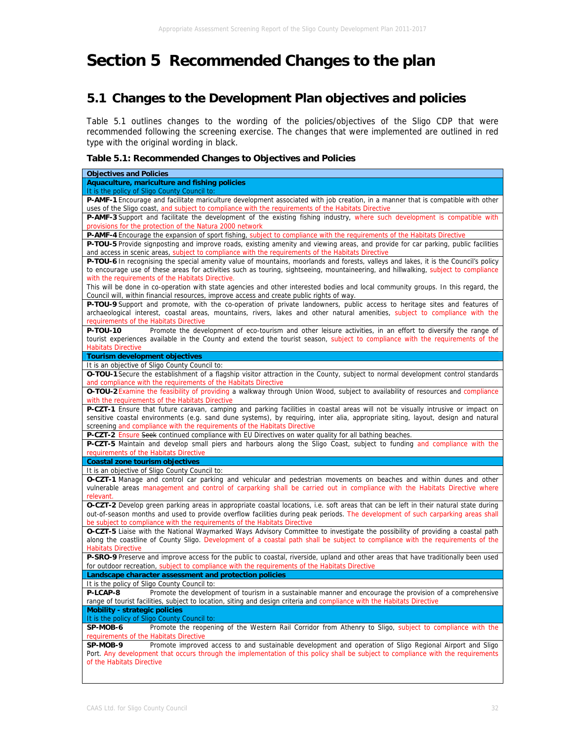# **Section 5 Recommended Changes to the plan**

# **5.1 Changes to the Development Plan objectives and policies**

Table 5.1 outlines changes to the wording of the policies/objectives of the Sligo CDP that were recommended following the screening exercise. The changes that were implemented are outlined in red type with the original wording in black.

#### **Table 5.1: Recommended Changes to Objectives and Policies**

| <b>Objectives and Policies</b>                                                                                                       |
|--------------------------------------------------------------------------------------------------------------------------------------|
| Aquaculture, mariculture and fishing policies                                                                                        |
| It is the policy of Sligo County Council to:                                                                                         |
| P-AMF-1 Encourage and facilitate mariculture development associated with job creation, in a manner that is compatible with other     |
| uses of the Sligo coast, and subject to compliance with the requirements of the Habitats Directive                                   |
| P-AMF-3 Support and facilitate the development of the existing fishing industry, where such development is compatible with           |
| provisions for the protection of the Natura 2000 network                                                                             |
| P-AMF-4 Encourage the expansion of sport fishing, subject to compliance with the requirements of the Habitats Directive              |
| P-TOU-5 Provide signposting and improve roads, existing amenity and viewing areas, and provide for car parking, public facilities    |
| and access in scenic areas, subject to compliance with the requirements of the Habitats Directive                                    |
| P-TOU-6 In recognising the special amenity value of mountains, moorlands and forests, valleys and lakes, it is the Council's policy  |
| to encourage use of these areas for activities such as touring, sightseeing, mountaineering, and hillwalking, subject to compliance  |
| with the requirements of the Habitats Directive.                                                                                     |
| This will be done in co-operation with state agencies and other interested bodies and local community groups. In this regard, the    |
| Council will, within financial resources, improve access and create public rights of way.                                            |
| P-TOU-9 Support and promote, with the co-operation of private landowners, public access to heritage sites and features of            |
| archaeological interest, coastal areas, mountains, rivers, lakes and other natural amenities, subject to compliance with the         |
| requirements of the Habitats Directive                                                                                               |
| Promote the development of eco-tourism and other leisure activities, in an effort to diversify the range of<br>P-TOU-10              |
| tourist experiences available in the County and extend the tourist season, subject to compliance with the requirements of the        |
| <b>Habitats Directive</b>                                                                                                            |
| <b>Tourism development objectives</b>                                                                                                |
| It is an objective of Sligo County Council to:                                                                                       |
| O-TOU-1 Secure the establishment of a flagship visitor attraction in the County, subject to normal development control standards     |
| and compliance with the requirements of the Habitats Directive                                                                       |
| O-TOU-2 Examine the feasibility of providing a walkway through Union Wood, subject to availability of resources and compliance       |
|                                                                                                                                      |
| with the requirements of the Habitats Directive                                                                                      |
| P-CZT-1 Ensure that future caravan, camping and parking facilities in coastal areas will not be visually intrusive or impact on      |
| sensitive coastal environments (e.g. sand dune systems), by requiring, inter alia, appropriate siting, layout, design and natural    |
| screening and compliance with the requirements of the Habitats Directive                                                             |
| P-CZT-2 Ensure Seek continued compliance with EU Directives on water quality for all bathing beaches.                                |
| P-CZT-5 Maintain and develop small piers and harbours along the Sligo Coast, subject to funding and compliance with the              |
| requirements of the Habitats Directive                                                                                               |
| <b>Coastal zone tourism objectives</b>                                                                                               |
| It is an objective of Sligo County Council to:                                                                                       |
| O-CZT-1 Manage and control car parking and vehicular and pedestrian movements on beaches and within dunes and other                  |
| vulnerable areas management and control of carparking shall be carried out in compliance with the Habitats Directive where           |
| relevant.                                                                                                                            |
| O-CZT-2 Develop green parking areas in appropriate coastal locations, i.e. soft areas that can be left in their natural state during |
| out-of-season months and used to provide overflow facilities during peak periods. The development of such carparking areas shall     |
| be subject to compliance with the requirements of the Habitats Directive                                                             |
| O-CZT-5 Liaise with the National Waymarked Ways Advisory Committee to investigate the possibility of providing a coastal path        |
| along the coastline of County Sligo. Development of a coastal path shall be subject to compliance with the requirements of the       |
| <b>Habitats Directive</b>                                                                                                            |
| P-SRO-9 Preserve and improve access for the public to coastal, riverside, upland and other areas that have traditionally been used   |
| for outdoor recreation, subject to compliance with the requirements of the Habitats Directive                                        |
| Landscape character assessment and protection policies                                                                               |
| It is the policy of Sligo County Council to:                                                                                         |
| P-LCAP-8<br>Promote the development of tourism in a sustainable manner and encourage the provision of a comprehensive                |
| range of tourist facilities, subject to location, siting and design criteria and compliance with the Habitats Directive              |
| <b>Mobility - strategic policies</b>                                                                                                 |
| It is the policy of Sligo County Council to:                                                                                         |
| SP-MOB-6<br>Promote the reopening of the Western Rail Corridor from Athenry to Sligo, subject to compliance with the                 |
| requirements of the Habitats Directive                                                                                               |
| Promote improved access to and sustainable development and operation of Sligo Regional Airport and Sligo<br>SP-MOB-9                 |
| Port. Any development that occurs through the implementation of this policy shall be subject to compliance with the requirements     |
| of the Habitats Directive                                                                                                            |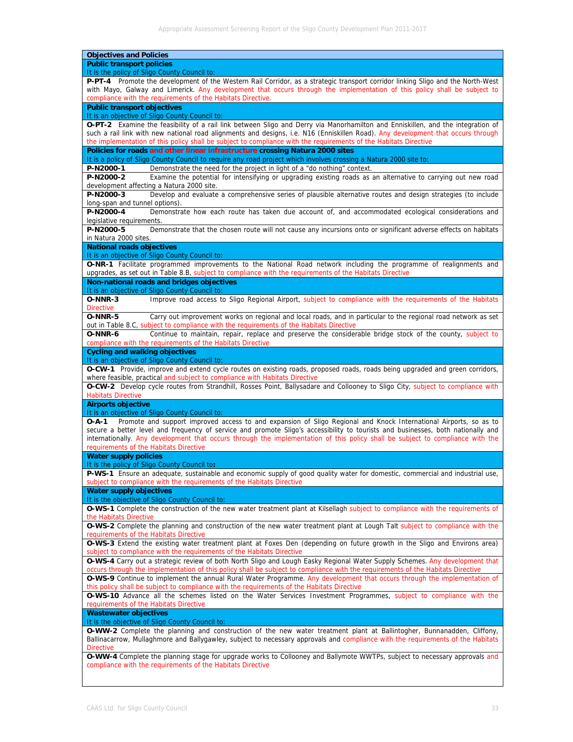| <b>Objectives and Policies</b>                                                                                                                                                                                                                       |
|------------------------------------------------------------------------------------------------------------------------------------------------------------------------------------------------------------------------------------------------------|
| <b>Public transport policies</b>                                                                                                                                                                                                                     |
| It is the policy of Sligo County Council to:                                                                                                                                                                                                         |
| P-PT-4 Promote the development of the Western Rail Corridor, as a strategic transport corridor linking Sligo and the North-West                                                                                                                      |
| with Mayo, Galway and Limerick. Any development that occurs through the implementation of this policy shall be subject to<br>compliance with the requirements of the Habitats Directive.                                                             |
| <b>Public transport objectives</b>                                                                                                                                                                                                                   |
| It is an objective of Sligo County Council to:                                                                                                                                                                                                       |
| O-PT-2 Examine the feasibility of a rail link between Sligo and Derry via Manorhamilton and Enniskillen, and the integration of                                                                                                                      |
| such a rail link with new national road alignments and designs, i.e. N16 (Enniskillen Road). Any development that occurs through<br>the implementation of this policy shall be subject to compliance with the requirements of the Habitats Directive |
| Policies for roads and other linear infrastructure crossing Natura 2000 sites                                                                                                                                                                        |
| It is a policy of Sligo County Council to require any road project which involves crossing a Natura 2000 site to:                                                                                                                                    |
| Demonstrate the need for the project in light of a "do nothing" context.<br>P-N2000-1                                                                                                                                                                |
| P-N2000-2<br>Examine the potential for intensifying or upgrading existing roads as an alternative to carrying out new road                                                                                                                           |
| development affecting a Natura 2000 site.                                                                                                                                                                                                            |
| Develop and evaluate a comprehensive series of plausible alternative routes and design strategies (to include<br>P-N2000-3                                                                                                                           |
| long-span and tunnel options).                                                                                                                                                                                                                       |
| P-N2000-4<br>Demonstrate how each route has taken due account of, and accommodated ecological considerations and                                                                                                                                     |
| legislative requirements.                                                                                                                                                                                                                            |
| P-N2000-5<br>Demonstrate that the chosen route will not cause any incursions onto or significant adverse effects on habitats                                                                                                                         |
| in Natura 2000 sites.                                                                                                                                                                                                                                |
| <b>National roads objectives</b>                                                                                                                                                                                                                     |
| It is an objective of Sligo County Council to:<br>O-NR-1 Facilitate programmed improvements to the National Road network including the programme of realignments and                                                                                 |
| upgrades, as set out in Table 8.B, subject to compliance with the requirements of the Habitats Directive                                                                                                                                             |
| Non-national roads and bridges objectives                                                                                                                                                                                                            |
| It is an objective of Sligo County Council to:                                                                                                                                                                                                       |
| O-NNR-3<br>Improve road access to Sligo Regional Airport, subject to compliance with the requirements of the Habitats                                                                                                                                |
| <b>Directive</b>                                                                                                                                                                                                                                     |
| Carry out improvement works on regional and local roads, and in particular to the regional road network as set<br>O-NNR-5                                                                                                                            |
| out in Table 8.C, subject to compliance with the requirements of the Habitats Directive                                                                                                                                                              |
| Continue to maintain, repair, replace and preserve the considerable bridge stock of the county, subject to<br>O-NNR-6                                                                                                                                |
| compliance with the requirements of the Habitats Directive                                                                                                                                                                                           |
| <b>Cycling and walking objectives</b>                                                                                                                                                                                                                |
| It is an objective of Sligo County Council to:                                                                                                                                                                                                       |
| O-CW-1 Provide, improve and extend cycle routes on existing roads, proposed roads, roads being upgraded and green corridors,                                                                                                                         |
| where feasible, practical and subject to compliance with Habitats Directive<br>O-CW-2 Develop cycle routes from Strandhill, Rosses Point, Ballysadare and Collooney to Sligo City, subject to compliance with                                        |
| <b>Habitats Directive</b>                                                                                                                                                                                                                            |
| <b>Airports objective</b>                                                                                                                                                                                                                            |
| It is an objective of Sligo County Council to:                                                                                                                                                                                                       |
| Promote and support improved access to and expansion of Sligo Regional and Knock International Airports, so as to<br>$O - A - 1$                                                                                                                     |
| secure a better level and frequency of service and promote Sligo's accessibility to tourists and businesses, both nationally and                                                                                                                     |
| internationally. Any development that occurs through the implementation of this policy shall be subject to compliance with the                                                                                                                       |
| requirements of the Habitats Directive                                                                                                                                                                                                               |
| <b>Water supply policies</b>                                                                                                                                                                                                                         |
| It is the policy of Sligo County Council to:                                                                                                                                                                                                         |
| P-WS-1 Ensure an adequate, sustainable and economic supply of good quality water for domestic, commercial and industrial use,                                                                                                                        |
| subject to compliance with the requirements of the Habitats Directive                                                                                                                                                                                |
| <b>Water supply objectives</b>                                                                                                                                                                                                                       |
| It is the objective of Sligo County Council to:                                                                                                                                                                                                      |
| O-WS-1 Complete the construction of the new water treatment plant at Kilsellagh subject to compliance with the requirements of                                                                                                                       |
| the Habitats Directive                                                                                                                                                                                                                               |
| O-WS-2 Complete the planning and construction of the new water treatment plant at Lough Talt subject to compliance with the                                                                                                                          |
| requirements of the Habitats Directive                                                                                                                                                                                                               |
| O-WS-3 Extend the existing water treatment plant at Foxes Den (depending on future growth in the Sligo and Environs area)                                                                                                                            |
| subject to compliance with the requirements of the Habitats Directive                                                                                                                                                                                |
| O-WS-4 Carry out a strategic review of both North Sligo and Lough Easky Regional Water Supply Schemes. Any development that                                                                                                                          |
| occurs through the implementation of this policy shall be subject to compliance with the requirements of the Habitats Directive                                                                                                                      |
| O-WS-9 Continue to implement the annual Rural Water Programme. Any development that occurs through the implementation of                                                                                                                             |
| this policy shall be subject to compliance with the requirements of the Habitats Directive                                                                                                                                                           |
| O-WS-10 Advance all the schemes listed on the Water Services Investment Programmes, subject to compliance with the                                                                                                                                   |
| requirements of the Habitats Directive                                                                                                                                                                                                               |
| <b>Wastewater objectives</b>                                                                                                                                                                                                                         |
| It is the objective of Sligo County Council to:                                                                                                                                                                                                      |
| O-WW-2 Complete the planning and construction of the new water treatment plant at Ballintogher, Bunnanadden, Cliffony,                                                                                                                               |
| Ballinacarrow, Mullaghmore and Ballygawley, subject to necessary approvals and compliance with the requirements of the Habitats                                                                                                                      |
| <b>Directive</b>                                                                                                                                                                                                                                     |
| O-WW-4 Complete the planning stage for upgrade works to Collooney and Ballymote WWTPs, subject to necessary approvals and<br>compliance with the requirements of the Habitats Directive                                                              |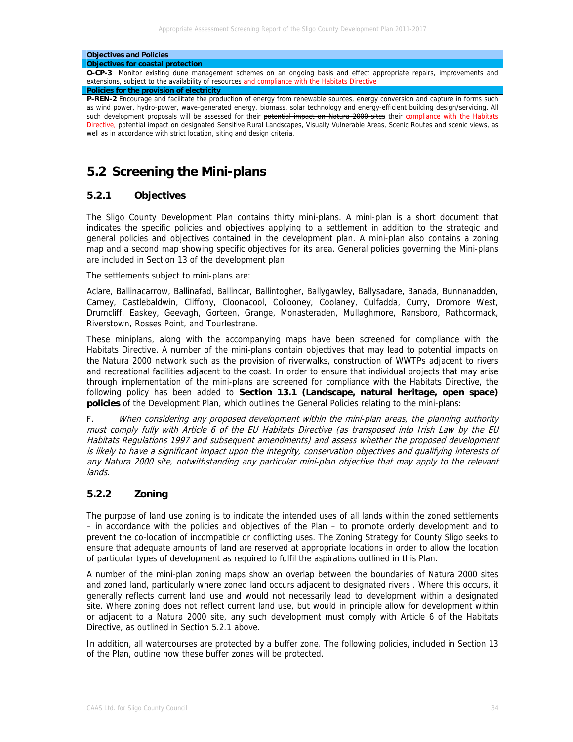| <b>Objectives and Policies</b>                                                                                                                                                                                                                                                                                                                                                                                                                                                                                                                                                                                               |
|------------------------------------------------------------------------------------------------------------------------------------------------------------------------------------------------------------------------------------------------------------------------------------------------------------------------------------------------------------------------------------------------------------------------------------------------------------------------------------------------------------------------------------------------------------------------------------------------------------------------------|
| <b>Objectives for coastal protection</b>                                                                                                                                                                                                                                                                                                                                                                                                                                                                                                                                                                                     |
| <b>O-CP-3</b> Monitor existing dune management schemes on an ongoing basis and effect appropriate repairs, improvements and                                                                                                                                                                                                                                                                                                                                                                                                                                                                                                  |
| extensions, subject to the availability of resources and compliance with the Habitats Directive                                                                                                                                                                                                                                                                                                                                                                                                                                                                                                                              |
| Policies for the provision of electricity                                                                                                                                                                                                                                                                                                                                                                                                                                                                                                                                                                                    |
| <b>P-REN-2</b> Encourage and facilitate the production of energy from renewable sources, energy conversion and capture in forms such<br>as wind power, hydro-power, wave-generated energy, biomass, solar technology and energy-efficient building design/servicing. All<br>such development proposals will be assessed for their potential impact on Natura 2000 sites their compliance with the Habitats<br>Directive, potential impact on designated Sensitive Rural Landscapes, Visually Vulnerable Areas, Scenic Routes and scenic views, as<br>well as in accordance with strict location, siting and design criteria. |

# **5.2 Screening the Mini-plans**

### **5.2.1 Objectives**

The Sligo County Development Plan contains thirty mini-plans. A mini-plan is a short document that indicates the specific policies and objectives applying to a settlement in addition to the strategic and general policies and objectives contained in the development plan. A mini-plan also contains a zoning map and a second map showing specific objectives for its area. General policies governing the Mini-plans are included in Section 13 of the development plan.

The settlements subject to mini-plans are:

Aclare, Ballinacarrow, Ballinafad, Ballincar, Ballintogher, Ballygawley, Ballysadare, Banada, Bunnanadden, Carney, Castlebaldwin, Cliffony, Cloonacool, Collooney, Coolaney, Culfadda, Curry, Dromore West, Drumcliff, Easkey, Geevagh, Gorteen, Grange, Monasteraden, Mullaghmore, Ransboro, Rathcormack, Riverstown, Rosses Point, and Tourlestrane.

These miniplans, along with the accompanying maps have been screened for compliance with the Habitats Directive. A number of the mini-plans contain objectives that may lead to potential impacts on the Natura 2000 network such as the provision of riverwalks, construction of WWTPs adjacent to rivers and recreational facilities adjacent to the coast. In order to ensure that individual projects that may arise through implementation of the mini-plans are screened for compliance with the Habitats Directive, the following policy has been added to **Section 13.1 (Landscape, natural heritage, open space) policies** of the Development Plan, which outlines the General Policies relating to the mini-plans:

F. When considering any proposed development within the mini-plan areas, the planning authority must comply fully with Article 6 of the EU Habitats Directive (as transposed into Irish Law by the EU Habitats Regulations 1997 and subsequent amendments) and assess whether the proposed development is likely to have a significant impact upon the integrity, conservation objectives and qualifying interests of any Natura 2000 site, notwithstanding any particular mini-plan objective that may apply to the relevant lands.

### **5.2.2 Zoning**

The purpose of land use zoning is to indicate the intended uses of all lands within the zoned settlements – in accordance with the policies and objectives of the Plan – to promote orderly development and to prevent the co-location of incompatible or conflicting uses. The Zoning Strategy for County Sligo seeks to ensure that adequate amounts of land are reserved at appropriate locations in order to allow the location of particular types of development as required to fulfil the aspirations outlined in this Plan.

A number of the mini-plan zoning maps show an overlap between the boundaries of Natura 2000 sites and zoned land, particularly where zoned land occurs adjacent to designated rivers . Where this occurs, it generally reflects current land use and would not necessarily lead to development within a designated site. Where zoning does not reflect current land use, but would in principle allow for development within or adjacent to a Natura 2000 site, any such development must comply with Article 6 of the Habitats Directive, as outlined in Section 5.2.1 above.

In addition, all watercourses are protected by a buffer zone. The following policies, included in Section 13 of the Plan, outline how these buffer zones will be protected.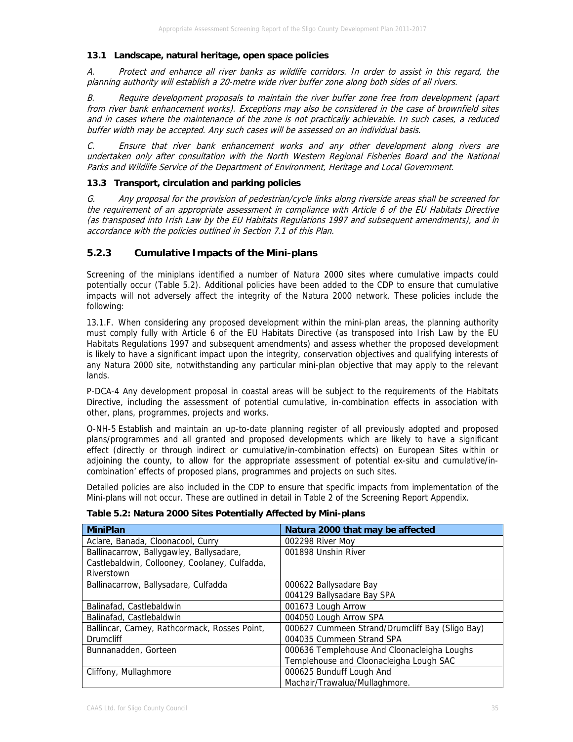#### **13.1 Landscape, natural heritage, open space policies**

A. Protect and enhance all river banks as wildlife corridors. In order to assist in this regard, the planning authority will establish a 20-metre wide river buffer zone along both sides of all rivers.

B. Require development proposals to maintain the river buffer zone free from development (apart from river bank enhancement works). Exceptions may also be considered in the case of brownfield sites and in cases where the maintenance of the zone is not practically achievable. In such cases, a reduced buffer width may be accepted. Any such cases will be assessed on an individual basis.

C. Ensure that river bank enhancement works and any other development along rivers are undertaken only after consultation with the North Western Regional Fisheries Board and the National Parks and Wildlife Service of the Department of Environment, Heritage and Local Government.

#### **13.3 Transport, circulation and parking policies**

G. Any proposal for the provision of pedestrian/cycle links along riverside areas shall be screened for the requirement of an appropriate assessment in compliance with Article 6 of the EU Habitats Directive (as transposed into Irish Law by the EU Habitats Regulations 1997 and subsequent amendments), and in accordance with the policies outlined in Section 7.1 of this Plan.

### **5.2.3 Cumulative Impacts of the Mini-plans**

Screening of the miniplans identified a number of Natura 2000 sites where cumulative impacts could potentially occur (Table 5.2). Additional policies have been added to the CDP to ensure that cumulative impacts will not adversely affect the integrity of the Natura 2000 network. These policies include the following:

13.1.F. When considering any proposed development within the mini-plan areas, the planning authority must comply fully with Article 6 of the EU Habitats Directive (as transposed into Irish Law by the EU Habitats Regulations 1997 and subsequent amendments) and assess whether the proposed development is likely to have a significant impact upon the integrity, conservation objectives and qualifying interests of any Natura 2000 site, notwithstanding any particular mini-plan objective that may apply to the relevant lands.

P-DCA-4 Any development proposal in coastal areas will be subject to the requirements of the Habitats Directive, including the assessment of potential cumulative, in-combination effects in association with other, plans, programmes, projects and works.

O-NH-5 Establish and maintain an up-to-date planning register of all previously adopted and proposed plans/programmes and all granted and proposed developments which are likely to have a significant effect (directly or through indirect or cumulative/in-combination effects) on European Sites within or adjoining the county, to allow for the appropriate assessment of potential ex-situ and cumulative/incombination' effects of proposed plans, programmes and projects on such sites.

Detailed policies are also included in the CDP to ensure that specific impacts from implementation of the Mini-plans will not occur. These are outlined in detail in Table 2 of the Screening Report Appendix.

| Table 5.2: Natura 2000 Sites Potentially Affected by Mini-plans |  |
|-----------------------------------------------------------------|--|
|-----------------------------------------------------------------|--|

| <b>MiniPlan</b>                               | Natura 2000 that may be affected                |
|-----------------------------------------------|-------------------------------------------------|
| Aclare, Banada, Cloonacool, Curry             | 002298 River Moy                                |
| Ballinacarrow, Ballygawley, Ballysadare,      | 001898 Unshin River                             |
| Castlebaldwin, Collooney, Coolaney, Culfadda, |                                                 |
| Riverstown                                    |                                                 |
| Ballinacarrow, Ballysadare, Culfadda          | 000622 Ballysadare Bay                          |
|                                               | 004129 Ballysadare Bay SPA                      |
| Balinafad, Castlebaldwin                      | 001673 Lough Arrow                              |
| Balinafad, Castlebaldwin                      | 004050 Lough Arrow SPA                          |
| Ballincar, Carney, Rathcormack, Rosses Point, | 000627 Cummeen Strand/Drumcliff Bay (Sligo Bay) |
| <b>Drumcliff</b>                              | 004035 Cummeen Strand SPA                       |
| Bunnanadden, Gorteen                          | 000636 Templehouse And Cloonacleigha Loughs     |
|                                               | Templehouse and Cloonacleigha Lough SAC         |
| Cliffony, Mullaghmore                         | 000625 Bunduff Lough And                        |
|                                               | Machair/Trawalua/Mullaghmore.                   |